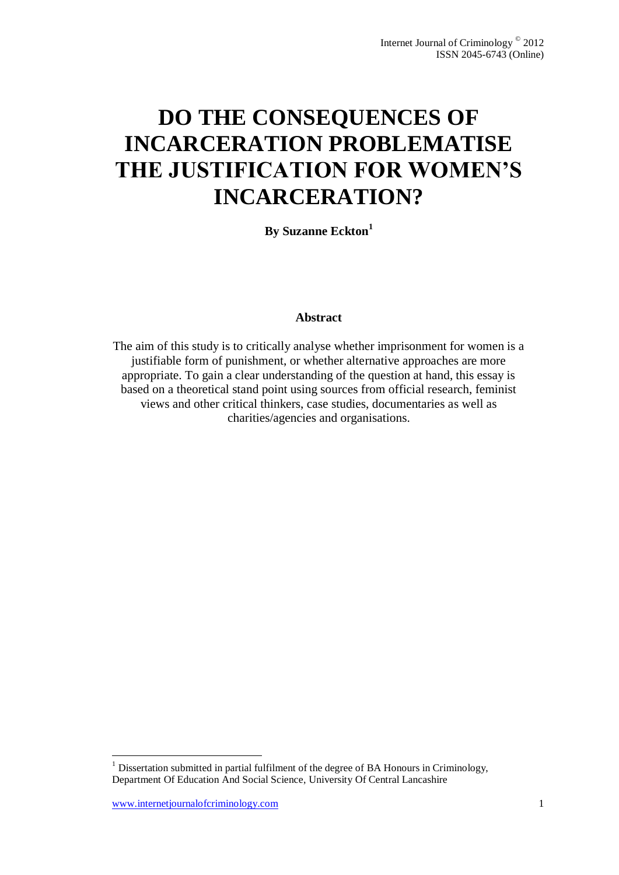# **DO THE CONSEQUENCES OF INCARCERATION PROBLEMATISE THE JUSTIFICATION FOR WOMEN'S INCARCERATION?**

**By Suzanne Eckton<sup>1</sup>**

## **Abstract**

The aim of this study is to critically analyse whether imprisonment for women is a justifiable form of punishment, or whether alternative approaches are more appropriate. To gain a clear understanding of the question at hand, this essay is based on a theoretical stand point using sources from official research, feminist views and other critical thinkers, case studies, documentaries as well as charities/agencies and organisations.

 $\overline{a}$ 

 $<sup>1</sup>$  Dissertation submitted in partial fulfilment of the degree of BA Honours in Criminology,</sup> Department Of Education And Social Science, University Of Central Lancashire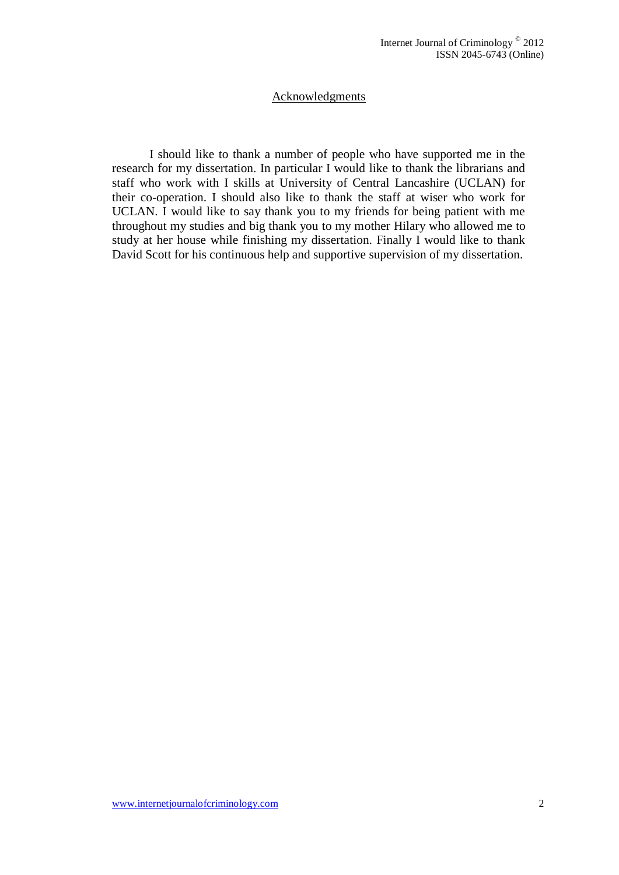## Acknowledgments

I should like to thank a number of people who have supported me in the research for my dissertation. In particular I would like to thank the librarians and staff who work with I skills at University of Central Lancashire (UCLAN) for their co-operation. I should also like to thank the staff at wiser who work for UCLAN. I would like to say thank you to my friends for being patient with me throughout my studies and big thank you to my mother Hilary who allowed me to study at her house while finishing my dissertation. Finally I would like to thank David Scott for his continuous help and supportive supervision of my dissertation.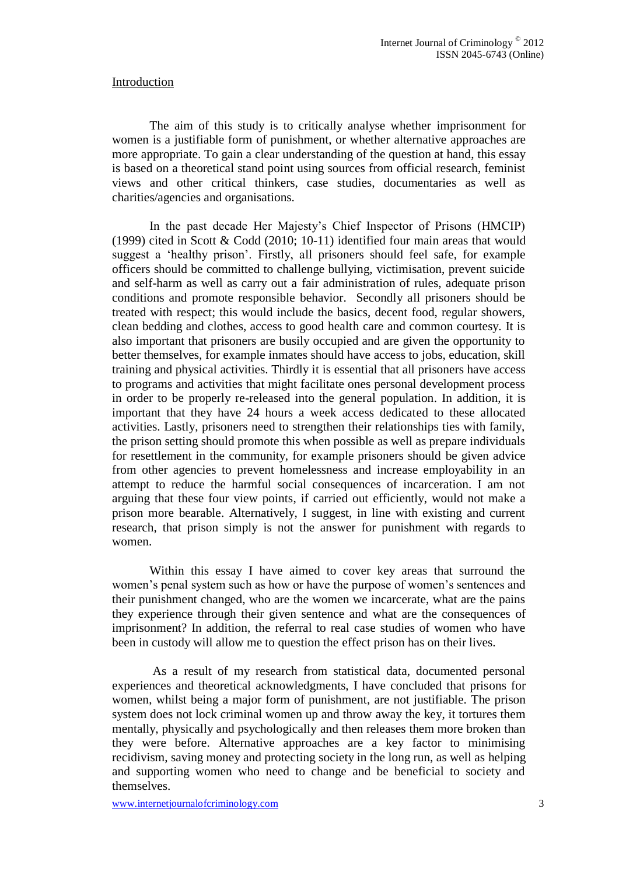#### Introduction

The aim of this study is to critically analyse whether imprisonment for women is a justifiable form of punishment, or whether alternative approaches are more appropriate. To gain a clear understanding of the question at hand, this essay is based on a theoretical stand point using sources from official research, feminist views and other critical thinkers, case studies, documentaries as well as charities/agencies and organisations.

In the past decade Her Majesty's Chief Inspector of Prisons (HMCIP) (1999) cited in Scott & Codd (2010; 10-11) identified four main areas that would suggest a 'healthy prison'. Firstly, all prisoners should feel safe, for example officers should be committed to challenge bullying, victimisation, prevent suicide and self-harm as well as carry out a fair administration of rules, adequate prison conditions and promote responsible behavior. Secondly all prisoners should be treated with respect; this would include the basics, decent food, regular showers, clean bedding and clothes, access to good health care and common courtesy. It is also important that prisoners are busily occupied and are given the opportunity to better themselves, for example inmates should have access to jobs, education, skill training and physical activities. Thirdly it is essential that all prisoners have access to programs and activities that might facilitate ones personal development process in order to be properly re-released into the general population. In addition, it is important that they have 24 hours a week access dedicated to these allocated activities. Lastly, prisoners need to strengthen their relationships ties with family, the prison setting should promote this when possible as well as prepare individuals for resettlement in the community, for example prisoners should be given advice from other agencies to prevent homelessness and increase employability in an attempt to reduce the harmful social consequences of incarceration. I am not arguing that these four view points, if carried out efficiently, would not make a prison more bearable. Alternatively, I suggest, in line with existing and current research, that prison simply is not the answer for punishment with regards to women.

Within this essay I have aimed to cover key areas that surround the women's penal system such as how or have the purpose of women's sentences and their punishment changed, who are the women we incarcerate, what are the pains they experience through their given sentence and what are the consequences of imprisonment? In addition, the referral to real case studies of women who have been in custody will allow me to question the effect prison has on their lives.

As a result of my research from statistical data, documented personal experiences and theoretical acknowledgments, I have concluded that prisons for women, whilst being a major form of punishment, are not justifiable. The prison system does not lock criminal women up and throw away the key, it tortures them mentally, physically and psychologically and then releases them more broken than they were before. Alternative approaches are a key factor to minimising recidivism, saving money and protecting society in the long run, as well as helping and supporting women who need to change and be beneficial to society and themselves.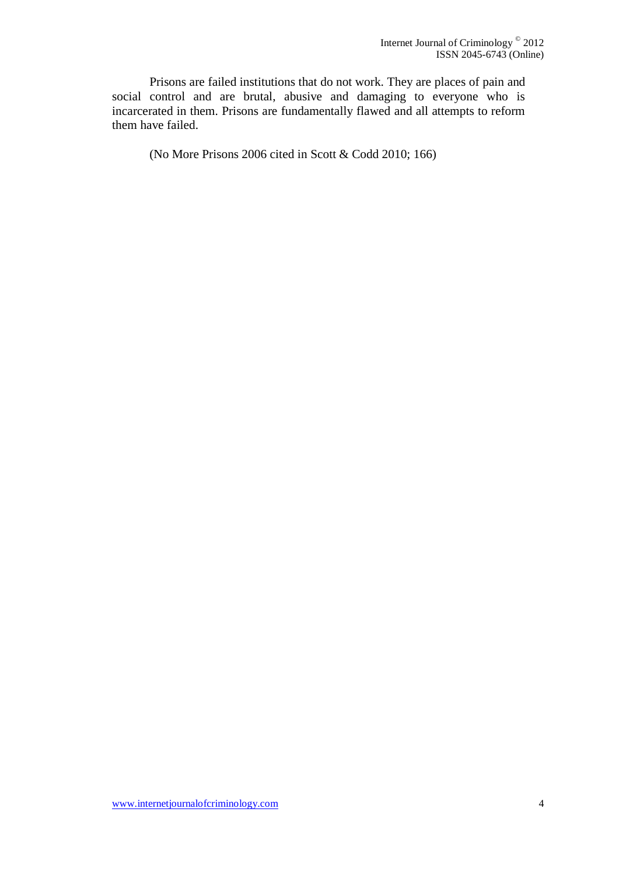Prisons are failed institutions that do not work. They are places of pain and social control and are brutal, abusive and damaging to everyone who is incarcerated in them. Prisons are fundamentally flawed and all attempts to reform them have failed.

(No More Prisons 2006 cited in Scott & Codd 2010; 166)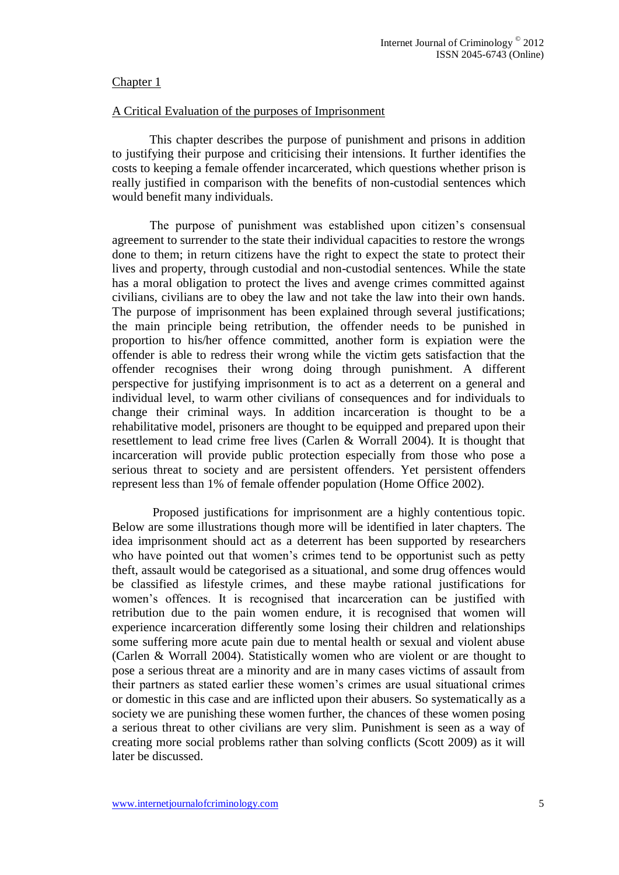## Chapter 1

#### A Critical Evaluation of the purposes of Imprisonment

This chapter describes the purpose of punishment and prisons in addition to justifying their purpose and criticising their intensions. It further identifies the costs to keeping a female offender incarcerated, which questions whether prison is really justified in comparison with the benefits of non-custodial sentences which would benefit many individuals.

The purpose of punishment was established upon citizen's consensual agreement to surrender to the state their individual capacities to restore the wrongs done to them; in return citizens have the right to expect the state to protect their lives and property, through custodial and non-custodial sentences. While the state has a moral obligation to protect the lives and avenge crimes committed against civilians, civilians are to obey the law and not take the law into their own hands. The purpose of imprisonment has been explained through several justifications; the main principle being retribution, the offender needs to be punished in proportion to his/her offence committed, another form is expiation were the offender is able to redress their wrong while the victim gets satisfaction that the offender recognises their wrong doing through punishment. A different perspective for justifying imprisonment is to act as a deterrent on a general and individual level, to warm other civilians of consequences and for individuals to change their criminal ways. In addition incarceration is thought to be a rehabilitative model, prisoners are thought to be equipped and prepared upon their resettlement to lead crime free lives (Carlen & Worrall 2004). It is thought that incarceration will provide public protection especially from those who pose a serious threat to society and are persistent offenders. Yet persistent offenders represent less than 1% of female offender population (Home Office 2002).

Proposed justifications for imprisonment are a highly contentious topic. Below are some illustrations though more will be identified in later chapters. The idea imprisonment should act as a deterrent has been supported by researchers who have pointed out that women's crimes tend to be opportunist such as petty theft, assault would be categorised as a situational, and some drug offences would be classified as lifestyle crimes, and these maybe rational justifications for women's offences. It is recognised that incarceration can be justified with retribution due to the pain women endure, it is recognised that women will experience incarceration differently some losing their children and relationships some suffering more acute pain due to mental health or sexual and violent abuse (Carlen & Worrall 2004). Statistically women who are violent or are thought to pose a serious threat are a minority and are in many cases victims of assault from their partners as stated earlier these women's crimes are usual situational crimes or domestic in this case and are inflicted upon their abusers. So systematically as a society we are punishing these women further, the chances of these women posing a serious threat to other civilians are very slim. Punishment is seen as a way of creating more social problems rather than solving conflicts (Scott 2009) as it will later be discussed.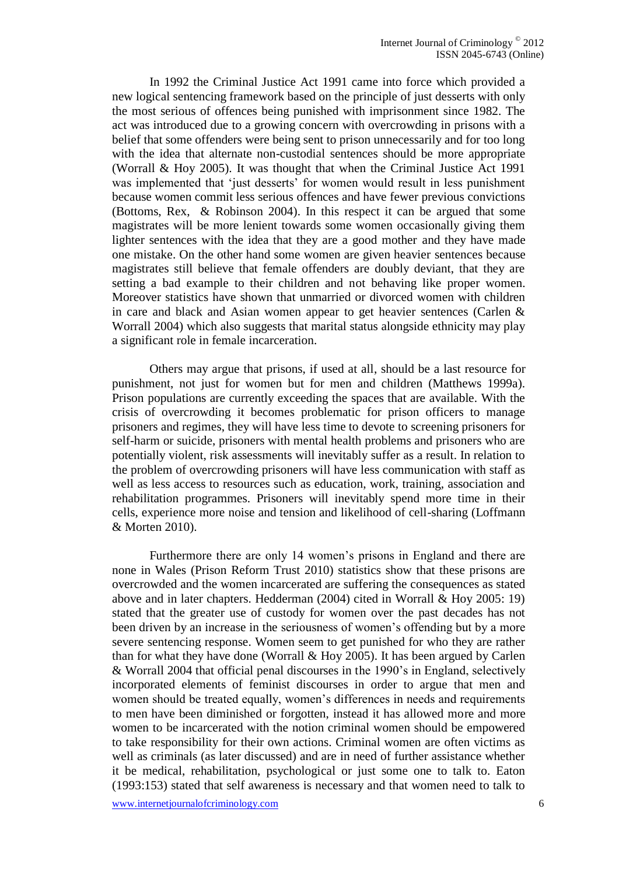In 1992 the Criminal Justice Act 1991 came into force which provided a new logical sentencing framework based on the principle of just desserts with only the most serious of offences being punished with imprisonment since 1982. The act was introduced due to a growing concern with overcrowding in prisons with a belief that some offenders were being sent to prison unnecessarily and for too long with the idea that alternate non-custodial sentences should be more appropriate (Worrall & Hoy 2005). It was thought that when the Criminal Justice Act 1991 was implemented that 'just desserts' for women would result in less punishment because women commit less serious offences and have fewer previous convictions (Bottoms, Rex, & Robinson 2004). In this respect it can be argued that some magistrates will be more lenient towards some women occasionally giving them lighter sentences with the idea that they are a good mother and they have made one mistake. On the other hand some women are given heavier sentences because magistrates still believe that female offenders are doubly deviant, that they are setting a bad example to their children and not behaving like proper women. Moreover statistics have shown that unmarried or divorced women with children in care and black and Asian women appear to get heavier sentences (Carlen & Worrall 2004) which also suggests that marital status alongside ethnicity may play a significant role in female incarceration.

Others may argue that prisons, if used at all, should be a last resource for punishment, not just for women but for men and children (Matthews 1999a). Prison populations are currently exceeding the spaces that are available. With the crisis of overcrowding it becomes problematic for prison officers to manage prisoners and regimes, they will have less time to devote to screening prisoners for self-harm or suicide, prisoners with mental health problems and prisoners who are potentially violent, risk assessments will inevitably suffer as a result. In relation to the problem of overcrowding prisoners will have less communication with staff as well as less access to resources such as education, work, training, association and rehabilitation programmes. Prisoners will inevitably spend more time in their cells, experience more noise and tension and likelihood of cell-sharing (Loffmann & Morten 2010).

Furthermore there are only 14 women's prisons in England and there are none in Wales (Prison Reform Trust 2010) statistics show that these prisons are overcrowded and the women incarcerated are suffering the consequences as stated above and in later chapters. Hedderman (2004) cited in Worrall & Hoy 2005: 19) stated that the greater use of custody for women over the past decades has not been driven by an increase in the seriousness of women's offending but by a more severe sentencing response. Women seem to get punished for who they are rather than for what they have done (Worrall & Hoy 2005). It has been argued by Carlen & Worrall 2004 that official penal discourses in the 1990's in England, selectively incorporated elements of feminist discourses in order to argue that men and women should be treated equally, women's differences in needs and requirements to men have been diminished or forgotten, instead it has allowed more and more women to be incarcerated with the notion criminal women should be empowered to take responsibility for their own actions. Criminal women are often victims as well as criminals (as later discussed) and are in need of further assistance whether it be medical, rehabilitation, psychological or just some one to talk to. Eaton (1993:153) stated that self awareness is necessary and that women need to talk to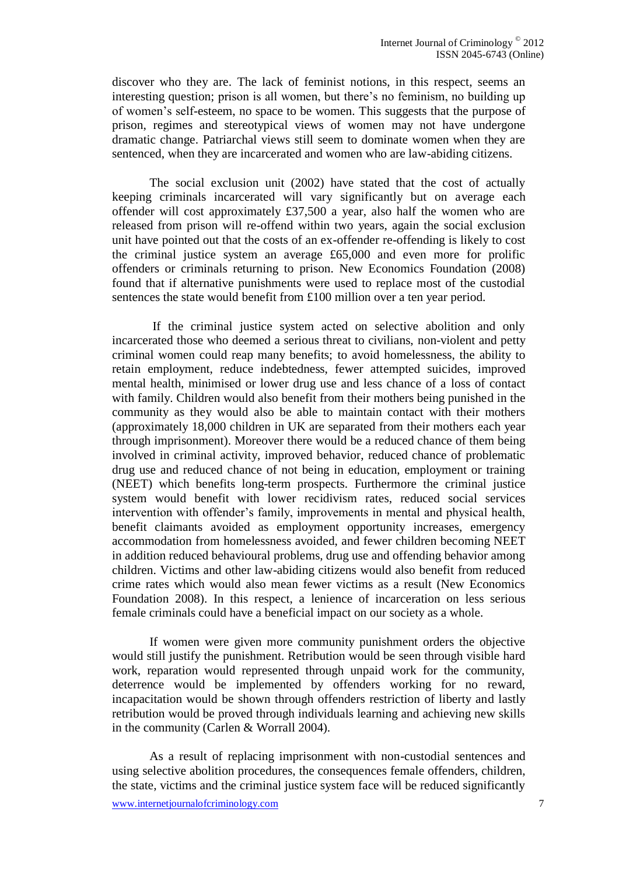discover who they are. The lack of feminist notions, in this respect, seems an interesting question; prison is all women, but there's no feminism, no building up of women's self-esteem, no space to be women. This suggests that the purpose of prison, regimes and stereotypical views of women may not have undergone dramatic change. Patriarchal views still seem to dominate women when they are sentenced, when they are incarcerated and women who are law-abiding citizens.

The social exclusion unit (2002) have stated that the cost of actually keeping criminals incarcerated will vary significantly but on average each offender will cost approximately £37,500 a year, also half the women who are released from prison will re-offend within two years, again the social exclusion unit have pointed out that the costs of an ex-offender re-offending is likely to cost the criminal justice system an average £65,000 and even more for prolific offenders or criminals returning to prison. New Economics Foundation (2008) found that if alternative punishments were used to replace most of the custodial sentences the state would benefit from £100 million over a ten year period.

If the criminal justice system acted on selective abolition and only incarcerated those who deemed a serious threat to civilians, non-violent and petty criminal women could reap many benefits; to avoid homelessness, the ability to retain employment, reduce indebtedness, fewer attempted suicides, improved mental health, minimised or lower drug use and less chance of a loss of contact with family. Children would also benefit from their mothers being punished in the community as they would also be able to maintain contact with their mothers (approximately 18,000 children in UK are separated from their mothers each year through imprisonment). Moreover there would be a reduced chance of them being involved in criminal activity, improved behavior, reduced chance of problematic drug use and reduced chance of not being in education, employment or training (NEET) which benefits long-term prospects. Furthermore the criminal justice system would benefit with lower recidivism rates, reduced social services intervention with offender's family, improvements in mental and physical health, benefit claimants avoided as employment opportunity increases, emergency accommodation from homelessness avoided, and fewer children becoming NEET in addition reduced behavioural problems, drug use and offending behavior among children. Victims and other law-abiding citizens would also benefit from reduced crime rates which would also mean fewer victims as a result (New Economics Foundation 2008). In this respect, a lenience of incarceration on less serious female criminals could have a beneficial impact on our society as a whole.

If women were given more community punishment orders the objective would still justify the punishment. Retribution would be seen through visible hard work, reparation would represented through unpaid work for the community, deterrence would be implemented by offenders working for no reward, incapacitation would be shown through offenders restriction of liberty and lastly retribution would be proved through individuals learning and achieving new skills in the community (Carlen & Worrall 2004).

As a result of replacing imprisonment with non-custodial sentences and using selective abolition procedures, the consequences female offenders, children, the state, victims and the criminal justice system face will be reduced significantly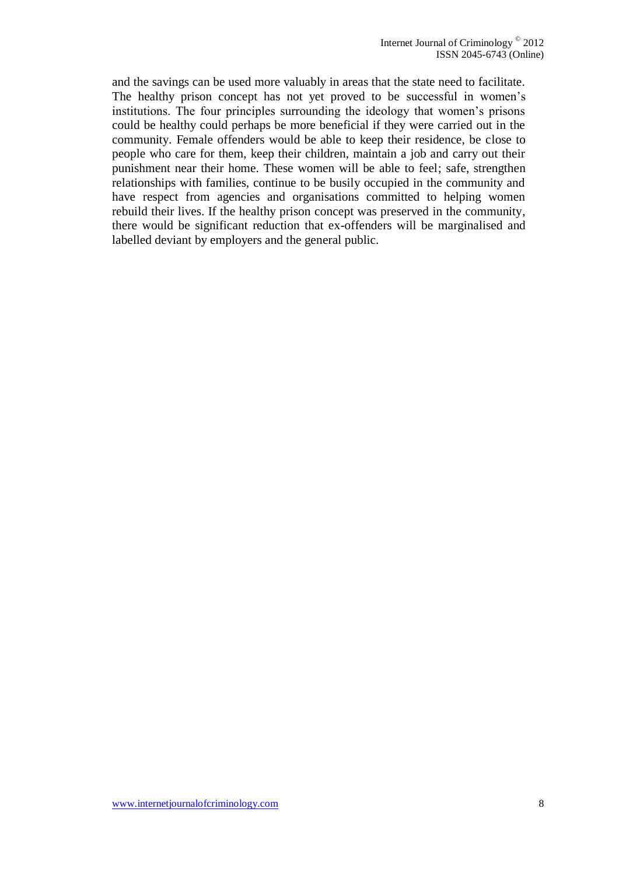and the savings can be used more valuably in areas that the state need to facilitate. The healthy prison concept has not yet proved to be successful in women's institutions. The four principles surrounding the ideology that women's prisons could be healthy could perhaps be more beneficial if they were carried out in the community. Female offenders would be able to keep their residence, be close to people who care for them, keep their children, maintain a job and carry out their punishment near their home. These women will be able to feel; safe, strengthen relationships with families, continue to be busily occupied in the community and have respect from agencies and organisations committed to helping women rebuild their lives. If the healthy prison concept was preserved in the community, there would be significant reduction that ex-offenders will be marginalised and labelled deviant by employers and the general public.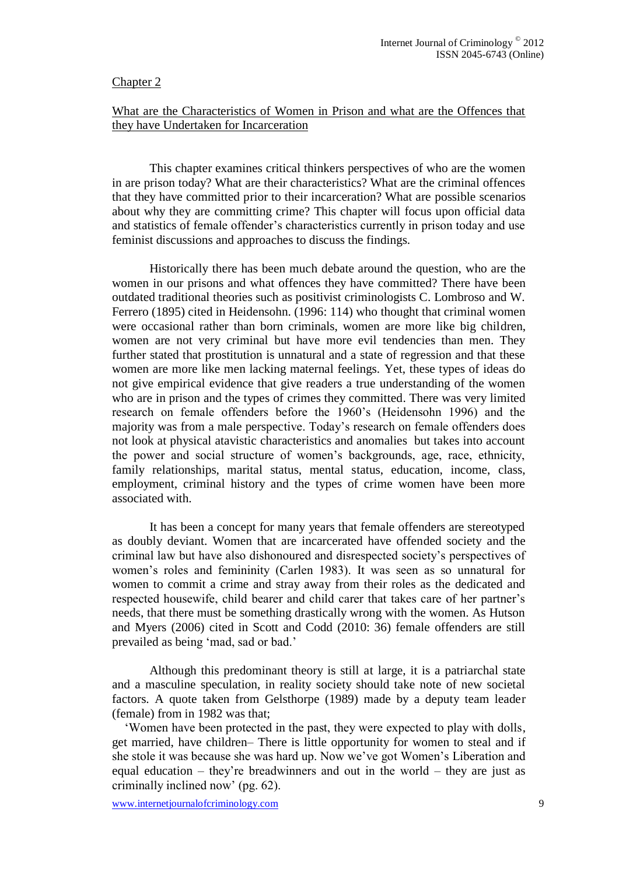#### Chapter 2

## What are the Characteristics of Women in Prison and what are the Offences that they have Undertaken for Incarceration

This chapter examines critical thinkers perspectives of who are the women in are prison today? What are their characteristics? What are the criminal offences that they have committed prior to their incarceration? What are possible scenarios about why they are committing crime? This chapter will focus upon official data and statistics of female offender's characteristics currently in prison today and use feminist discussions and approaches to discuss the findings.

Historically there has been much debate around the question, who are the women in our prisons and what offences they have committed? There have been outdated traditional theories such as positivist criminologists C. Lombroso and W. Ferrero (1895) cited in Heidensohn. (1996: 114) who thought that criminal women were occasional rather than born criminals, women are more like big children, women are not very criminal but have more evil tendencies than men. They further stated that prostitution is unnatural and a state of regression and that these women are more like men lacking maternal feelings. Yet, these types of ideas do not give empirical evidence that give readers a true understanding of the women who are in prison and the types of crimes they committed. There was very limited research on female offenders before the 1960's (Heidensohn 1996) and the majority was from a male perspective. Today's research on female offenders does not look at physical atavistic characteristics and anomalies but takes into account the power and social structure of women's backgrounds, age, race, ethnicity, family relationships, marital status, mental status, education, income, class, employment, criminal history and the types of crime women have been more associated with.

It has been a concept for many years that female offenders are stereotyped as doubly deviant. Women that are incarcerated have offended society and the criminal law but have also dishonoured and disrespected society's perspectives of women's roles and femininity (Carlen 1983). It was seen as so unnatural for women to commit a crime and stray away from their roles as the dedicated and respected housewife, child bearer and child carer that takes care of her partner's needs, that there must be something drastically wrong with the women. As Hutson and Myers (2006) cited in Scott and Codd (2010: 36) female offenders are still prevailed as being 'mad, sad or bad.'

Although this predominant theory is still at large, it is a patriarchal state and a masculine speculation, in reality society should take note of new societal factors. A quote taken from Gelsthorpe (1989) made by a deputy team leader (female) from in 1982 was that;

 'Women have been protected in the past, they were expected to play with dolls, get married, have children– There is little opportunity for women to steal and if she stole it was because she was hard up. Now we've got Women's Liberation and equal education – they're breadwinners and out in the world – they are just as criminally inclined now' (pg. 62).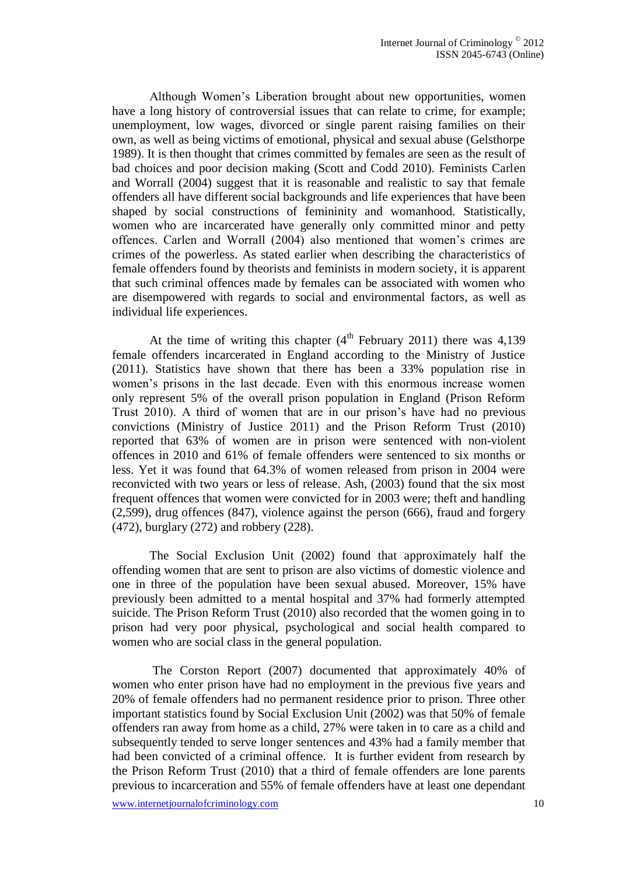Although Women's Liberation brought about new opportunities, women have a long history of controversial issues that can relate to crime, for example; unemployment, low wages, divorced or single parent raising families on their own, as well as being victims of emotional, physical and sexual abuse (Gelsthorpe 1989). It is then thought that crimes committed by females are seen as the result of bad choices and poor decision making (Scott and Codd 2010). Feminists Carlen and Worrall (2004) suggest that it is reasonable and realistic to say that female offenders all have different social backgrounds and life experiences that have been shaped by social constructions of femininity and womanhood. Statistically, women who are incarcerated have generally only committed minor and petty offences. Carlen and Worrall (2004) also mentioned that women's crimes are crimes of the powerless. As stated earlier when describing the characteristics of female offenders found by theorists and feminists in modern society, it is apparent that such criminal offences made by females can be associated with women who are disempowered with regards to social and environmental factors, as well as individual life experiences.

At the time of writing this chapter  $(4<sup>th</sup>$  February 2011) there was 4,139 female offenders incarcerated in England according to the Ministry of Justice (2011). Statistics have shown that there has been a 33% population rise in women's prisons in the last decade. Even with this enormous increase women only represent 5% of the overall prison population in England (Prison Reform Trust 2010). A third of women that are in our prison's have had no previous convictions (Ministry of Justice 2011) and the Prison Reform Trust (2010) reported that 63% of women are in prison were sentenced with non-violent offences in 2010 and 61% of female offenders were sentenced to six months or less. Yet it was found that 64.3% of women released from prison in 2004 were reconvicted with two years or less of release. Ash, (2003) found that the six most frequent offences that women were convicted for in 2003 were; theft and handling (2,599), drug offences (847), violence against the person (666), fraud and forgery (472), burglary (272) and robbery (228).

The Social Exclusion Unit (2002) found that approximately half the offending women that are sent to prison are also victims of domestic violence and one in three of the population have been sexual abused. Moreover, 15% have previously been admitted to a mental hospital and 37% had formerly attempted suicide. The Prison Reform Trust (2010) also recorded that the women going in to prison had very poor physical, psychological and social health compared to women who are social class in the general population.

The Corston Report (2007) documented that approximately 40% of women who enter prison have had no employment in the previous five years and 20% of female offenders had no permanent residence prior to prison. Three other important statistics found by Social Exclusion Unit (2002) was that 50% of female offenders ran away from home as a child, 27% were taken in to care as a child and subsequently tended to serve longer sentences and 43% had a family member that had been convicted of a criminal offence. It is further evident from research by the Prison Reform Trust (2010) that a third of female offenders are lone parents previous to incarceration and 55% of female offenders have at least one dependant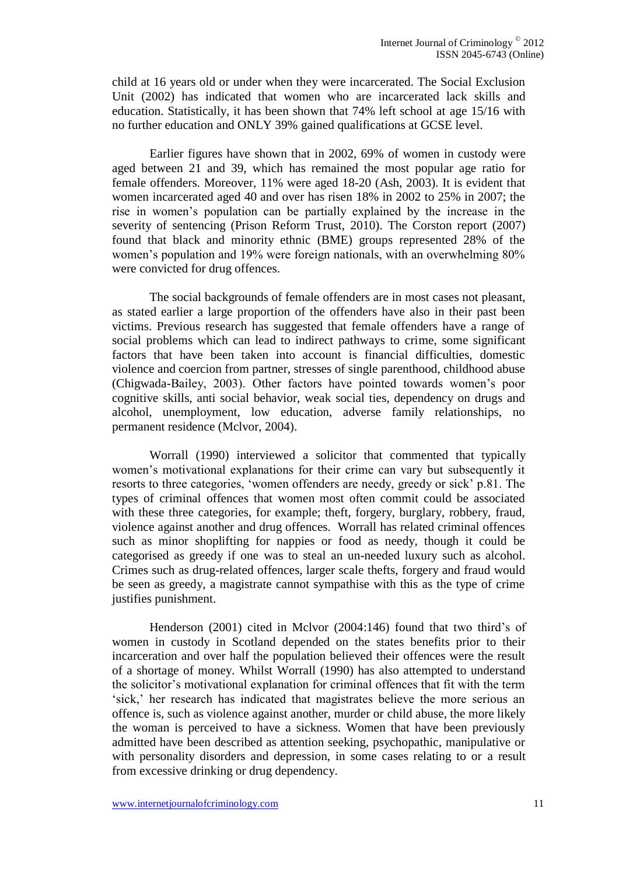child at 16 years old or under when they were incarcerated. The Social Exclusion Unit (2002) has indicated that women who are incarcerated lack skills and education. Statistically, it has been shown that 74% left school at age 15/16 with no further education and ONLY 39% gained qualifications at GCSE level.

Earlier figures have shown that in 2002, 69% of women in custody were aged between 21 and 39, which has remained the most popular age ratio for female offenders. Moreover, 11% were aged 18-20 (Ash, 2003). It is evident that women incarcerated aged 40 and over has risen 18% in 2002 to 25% in 2007; the rise in women's population can be partially explained by the increase in the severity of sentencing (Prison Reform Trust, 2010). The Corston report (2007) found that black and minority ethnic (BME) groups represented 28% of the women's population and 19% were foreign nationals, with an overwhelming 80% were convicted for drug offences.

The social backgrounds of female offenders are in most cases not pleasant, as stated earlier a large proportion of the offenders have also in their past been victims. Previous research has suggested that female offenders have a range of social problems which can lead to indirect pathways to crime, some significant factors that have been taken into account is financial difficulties, domestic violence and coercion from partner, stresses of single parenthood, childhood abuse (Chigwada-Bailey, 2003). Other factors have pointed towards women's poor cognitive skills, anti social behavior, weak social ties, dependency on drugs and alcohol, unemployment, low education, adverse family relationships, no permanent residence (Mclvor, 2004).

Worrall (1990) interviewed a solicitor that commented that typically women's motivational explanations for their crime can vary but subsequently it resorts to three categories, 'women offenders are needy, greedy or sick' p.81. The types of criminal offences that women most often commit could be associated with these three categories, for example; theft, forgery, burglary, robbery, fraud, violence against another and drug offences. Worrall has related criminal offences such as minor shoplifting for nappies or food as needy, though it could be categorised as greedy if one was to steal an un-needed luxury such as alcohol. Crimes such as drug-related offences, larger scale thefts, forgery and fraud would be seen as greedy, a magistrate cannot sympathise with this as the type of crime justifies punishment.

Henderson (2001) cited in Mclvor (2004:146) found that two third's of women in custody in Scotland depended on the states benefits prior to their incarceration and over half the population believed their offences were the result of a shortage of money. Whilst Worrall (1990) has also attempted to understand the solicitor's motivational explanation for criminal offences that fit with the term 'sick,' her research has indicated that magistrates believe the more serious an offence is, such as violence against another, murder or child abuse, the more likely the woman is perceived to have a sickness. Women that have been previously admitted have been described as attention seeking, psychopathic, manipulative or with personality disorders and depression, in some cases relating to or a result from excessive drinking or drug dependency.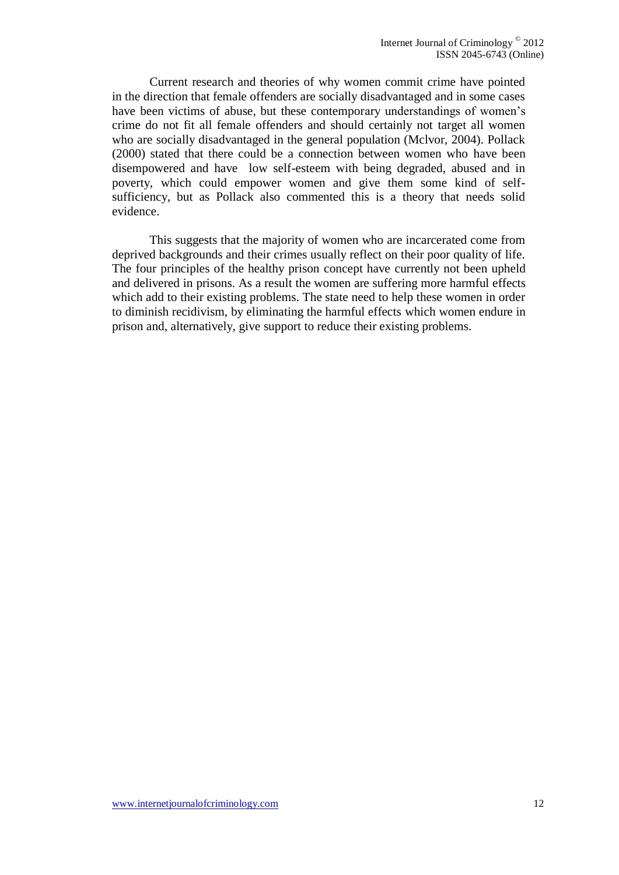Current research and theories of why women commit crime have pointed in the direction that female offenders are socially disadvantaged and in some cases have been victims of abuse, but these contemporary understandings of women's crime do not fit all female offenders and should certainly not target all women who are socially disadvantaged in the general population (Mclvor, 2004). Pollack (2000) stated that there could be a connection between women who have been disempowered and have low self-esteem with being degraded, abused and in poverty, which could empower women and give them some kind of selfsufficiency, but as Pollack also commented this is a theory that needs solid evidence.

This suggests that the majority of women who are incarcerated come from deprived backgrounds and their crimes usually reflect on their poor quality of life. The four principles of the healthy prison concept have currently not been upheld and delivered in prisons. As a result the women are suffering more harmful effects which add to their existing problems. The state need to help these women in order to diminish recidivism, by eliminating the harmful effects which women endure in prison and, alternatively, give support to reduce their existing problems.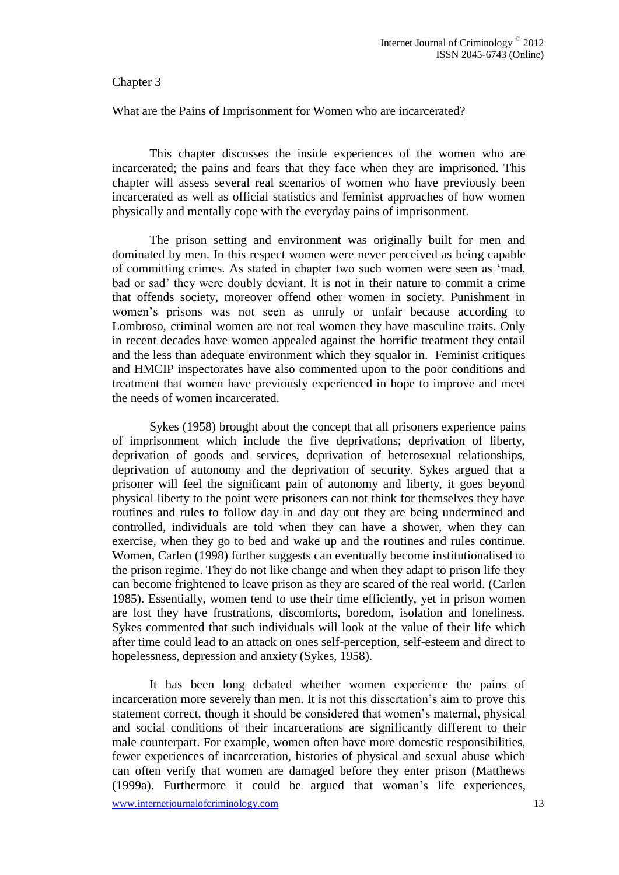## Chapter 3

#### What are the Pains of Imprisonment for Women who are incarcerated?

This chapter discusses the inside experiences of the women who are incarcerated; the pains and fears that they face when they are imprisoned. This chapter will assess several real scenarios of women who have previously been incarcerated as well as official statistics and feminist approaches of how women physically and mentally cope with the everyday pains of imprisonment.

The prison setting and environment was originally built for men and dominated by men. In this respect women were never perceived as being capable of committing crimes. As stated in chapter two such women were seen as 'mad, bad or sad' they were doubly deviant. It is not in their nature to commit a crime that offends society, moreover offend other women in society. Punishment in women's prisons was not seen as unruly or unfair because according to Lombroso, criminal women are not real women they have masculine traits. Only in recent decades have women appealed against the horrific treatment they entail and the less than adequate environment which they squalor in. Feminist critiques and HMCIP inspectorates have also commented upon to the poor conditions and treatment that women have previously experienced in hope to improve and meet the needs of women incarcerated.

Sykes (1958) brought about the concept that all prisoners experience pains of imprisonment which include the five deprivations; deprivation of liberty, deprivation of goods and services, deprivation of heterosexual relationships, deprivation of autonomy and the deprivation of security. Sykes argued that a prisoner will feel the significant pain of autonomy and liberty, it goes beyond physical liberty to the point were prisoners can not think for themselves they have routines and rules to follow day in and day out they are being undermined and controlled, individuals are told when they can have a shower, when they can exercise, when they go to bed and wake up and the routines and rules continue. Women, Carlen (1998) further suggests can eventually become institutionalised to the prison regime. They do not like change and when they adapt to prison life they can become frightened to leave prison as they are scared of the real world. (Carlen 1985). Essentially, women tend to use their time efficiently, yet in prison women are lost they have frustrations, discomforts, boredom, isolation and loneliness. Sykes commented that such individuals will look at the value of their life which after time could lead to an attack on ones self-perception, self-esteem and direct to hopelessness, depression and anxiety (Sykes, 1958).

It has been long debated whether women experience the pains of incarceration more severely than men. It is not this dissertation's aim to prove this statement correct, though it should be considered that women's maternal, physical and social conditions of their incarcerations are significantly different to their male counterpart. For example, women often have more domestic responsibilities, fewer experiences of incarceration, histories of physical and sexual abuse which can often verify that women are damaged before they enter prison (Matthews (1999a). Furthermore it could be argued that woman's life experiences,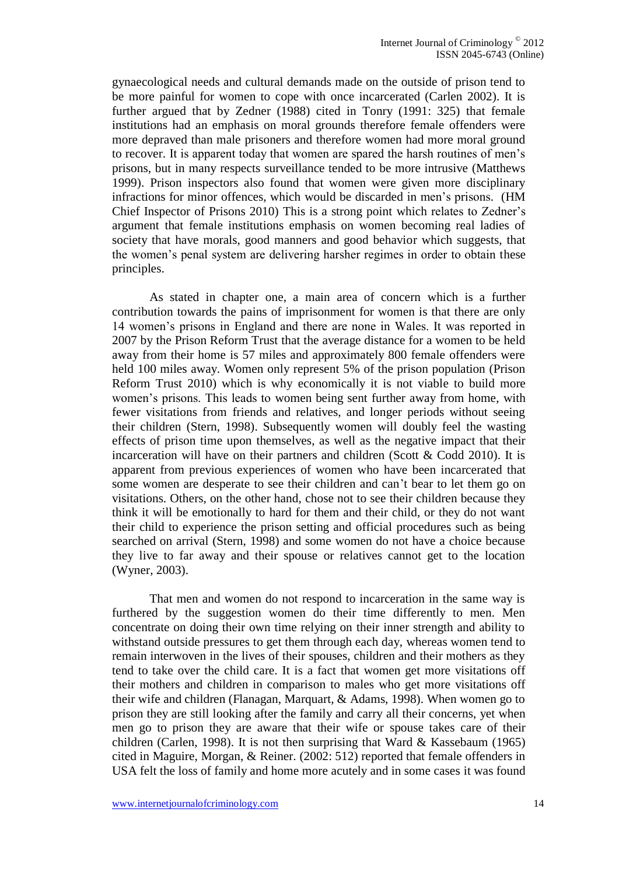gynaecological needs and cultural demands made on the outside of prison tend to be more painful for women to cope with once incarcerated (Carlen 2002). It is further argued that by Zedner (1988) cited in Tonry (1991: 325) that female institutions had an emphasis on moral grounds therefore female offenders were more depraved than male prisoners and therefore women had more moral ground to recover. It is apparent today that women are spared the harsh routines of men's prisons, but in many respects surveillance tended to be more intrusive (Matthews 1999). Prison inspectors also found that women were given more disciplinary infractions for minor offences, which would be discarded in men's prisons. (HM Chief Inspector of Prisons 2010) This is a strong point which relates to Zedner's argument that female institutions emphasis on women becoming real ladies of society that have morals, good manners and good behavior which suggests, that the women's penal system are delivering harsher regimes in order to obtain these principles.

As stated in chapter one, a main area of concern which is a further contribution towards the pains of imprisonment for women is that there are only 14 women's prisons in England and there are none in Wales. It was reported in 2007 by the Prison Reform Trust that the average distance for a women to be held away from their home is 57 miles and approximately 800 female offenders were held 100 miles away. Women only represent 5% of the prison population (Prison Reform Trust 2010) which is why economically it is not viable to build more women's prisons. This leads to women being sent further away from home, with fewer visitations from friends and relatives, and longer periods without seeing their children (Stern, 1998). Subsequently women will doubly feel the wasting effects of prison time upon themselves, as well as the negative impact that their incarceration will have on their partners and children (Scott  $& Codd 2010$ ). It is apparent from previous experiences of women who have been incarcerated that some women are desperate to see their children and can't bear to let them go on visitations. Others, on the other hand, chose not to see their children because they think it will be emotionally to hard for them and their child, or they do not want their child to experience the prison setting and official procedures such as being searched on arrival (Stern, 1998) and some women do not have a choice because they live to far away and their spouse or relatives cannot get to the location (Wyner, 2003).

That men and women do not respond to incarceration in the same way is furthered by the suggestion women do their time differently to men. Men concentrate on doing their own time relying on their inner strength and ability to withstand outside pressures to get them through each day, whereas women tend to remain interwoven in the lives of their spouses, children and their mothers as they tend to take over the child care. It is a fact that women get more visitations off their mothers and children in comparison to males who get more visitations off their wife and children (Flanagan, Marquart, & Adams, 1998). When women go to prison they are still looking after the family and carry all their concerns, yet when men go to prison they are aware that their wife or spouse takes care of their children (Carlen, 1998). It is not then surprising that Ward & Kassebaum (1965) cited in Maguire, Morgan, & Reiner. (2002: 512) reported that female offenders in USA felt the loss of family and home more acutely and in some cases it was found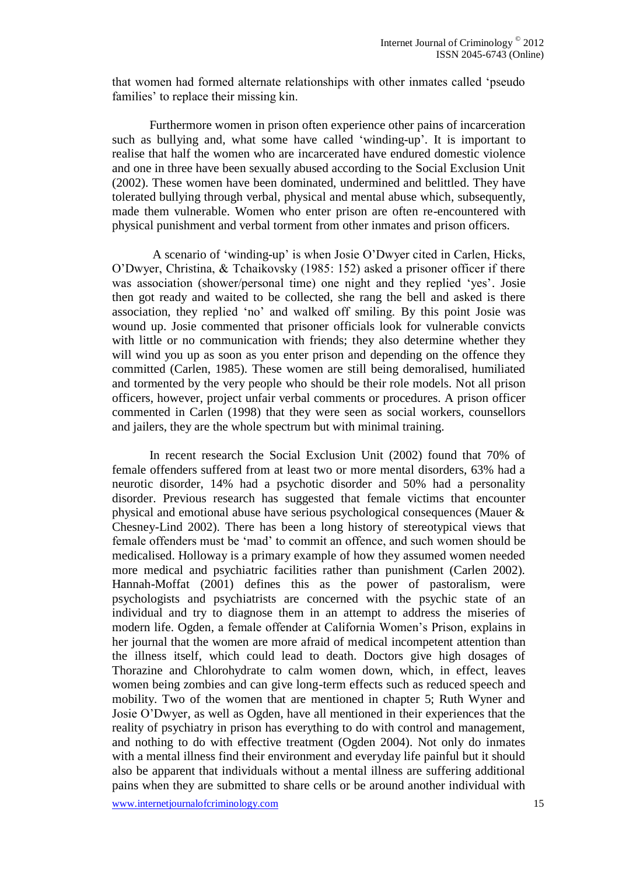that women had formed alternate relationships with other inmates called 'pseudo families' to replace their missing kin.

Furthermore women in prison often experience other pains of incarceration such as bullying and, what some have called 'winding-up'. It is important to realise that half the women who are incarcerated have endured domestic violence and one in three have been sexually abused according to the Social Exclusion Unit (2002). These women have been dominated, undermined and belittled. They have tolerated bullying through verbal, physical and mental abuse which, subsequently, made them vulnerable. Women who enter prison are often re-encountered with physical punishment and verbal torment from other inmates and prison officers.

A scenario of 'winding-up' is when Josie O'Dwyer cited in Carlen, Hicks, O'Dwyer, Christina, & Tchaikovsky (1985: 152) asked a prisoner officer if there was association (shower/personal time) one night and they replied 'yes'. Josie then got ready and waited to be collected, she rang the bell and asked is there association, they replied 'no' and walked off smiling. By this point Josie was wound up. Josie commented that prisoner officials look for vulnerable convicts with little or no communication with friends; they also determine whether they will wind you up as soon as you enter prison and depending on the offence they committed (Carlen, 1985). These women are still being demoralised, humiliated and tormented by the very people who should be their role models. Not all prison officers, however, project unfair verbal comments or procedures. A prison officer commented in Carlen (1998) that they were seen as social workers, counsellors and jailers, they are the whole spectrum but with minimal training.

In recent research the Social Exclusion Unit (2002) found that 70% of female offenders suffered from at least two or more mental disorders, 63% had a neurotic disorder, 14% had a psychotic disorder and 50% had a personality disorder. Previous research has suggested that female victims that encounter physical and emotional abuse have serious psychological consequences (Mauer & Chesney-Lind 2002). There has been a long history of stereotypical views that female offenders must be 'mad' to commit an offence, and such women should be medicalised. Holloway is a primary example of how they assumed women needed more medical and psychiatric facilities rather than punishment (Carlen 2002). Hannah-Moffat (2001) defines this as the power of pastoralism, were psychologists and psychiatrists are concerned with the psychic state of an individual and try to diagnose them in an attempt to address the miseries of modern life. Ogden, a female offender at California Women's Prison, explains in her journal that the women are more afraid of medical incompetent attention than the illness itself, which could lead to death. Doctors give high dosages of Thorazine and Chlorohydrate to calm women down, which, in effect, leaves women being zombies and can give long-term effects such as reduced speech and mobility. Two of the women that are mentioned in chapter 5; Ruth Wyner and Josie O'Dwyer, as well as Ogden, have all mentioned in their experiences that the reality of psychiatry in prison has everything to do with control and management, and nothing to do with effective treatment (Ogden 2004). Not only do inmates with a mental illness find their environment and everyday life painful but it should also be apparent that individuals without a mental illness are suffering additional pains when they are submitted to share cells or be around another individual with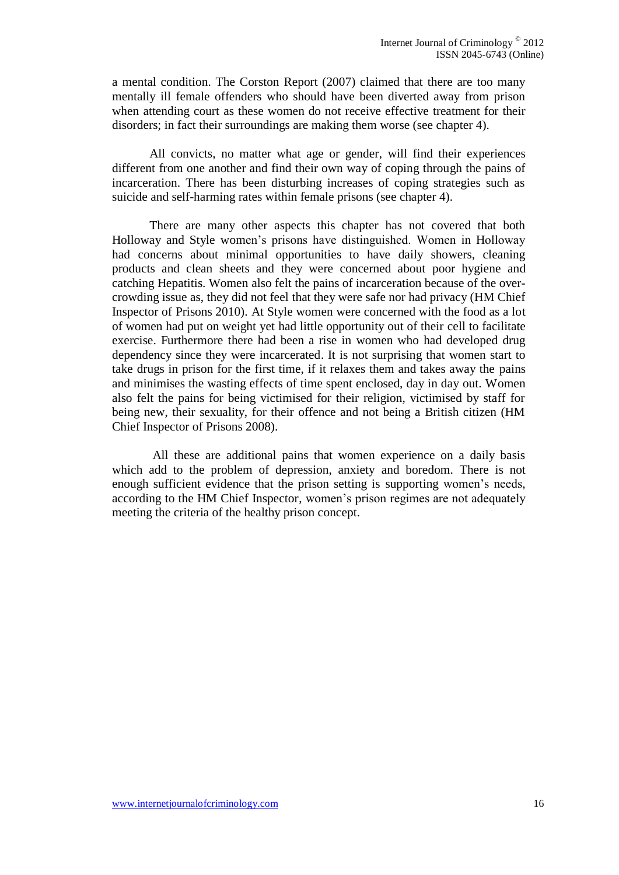a mental condition. The Corston Report (2007) claimed that there are too many mentally ill female offenders who should have been diverted away from prison when attending court as these women do not receive effective treatment for their disorders; in fact their surroundings are making them worse (see chapter 4).

All convicts, no matter what age or gender, will find their experiences different from one another and find their own way of coping through the pains of incarceration. There has been disturbing increases of coping strategies such as suicide and self-harming rates within female prisons (see chapter 4).

There are many other aspects this chapter has not covered that both Holloway and Style women's prisons have distinguished. Women in Holloway had concerns about minimal opportunities to have daily showers, cleaning products and clean sheets and they were concerned about poor hygiene and catching Hepatitis. Women also felt the pains of incarceration because of the overcrowding issue as, they did not feel that they were safe nor had privacy (HM Chief Inspector of Prisons 2010). At Style women were concerned with the food as a lot of women had put on weight yet had little opportunity out of their cell to facilitate exercise. Furthermore there had been a rise in women who had developed drug dependency since they were incarcerated. It is not surprising that women start to take drugs in prison for the first time, if it relaxes them and takes away the pains and minimises the wasting effects of time spent enclosed, day in day out. Women also felt the pains for being victimised for their religion, victimised by staff for being new, their sexuality, for their offence and not being a British citizen (HM Chief Inspector of Prisons 2008).

All these are additional pains that women experience on a daily basis which add to the problem of depression, anxiety and boredom. There is not enough sufficient evidence that the prison setting is supporting women's needs, according to the HM Chief Inspector, women's prison regimes are not adequately meeting the criteria of the healthy prison concept.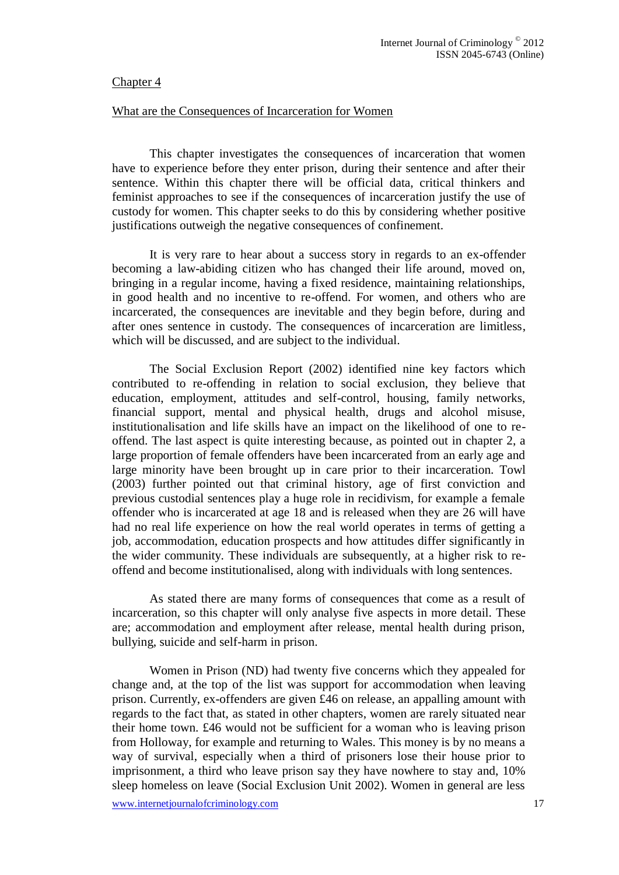## Chapter 4

#### What are the Consequences of Incarceration for Women

This chapter investigates the consequences of incarceration that women have to experience before they enter prison, during their sentence and after their sentence. Within this chapter there will be official data, critical thinkers and feminist approaches to see if the consequences of incarceration justify the use of custody for women. This chapter seeks to do this by considering whether positive justifications outweigh the negative consequences of confinement.

It is very rare to hear about a success story in regards to an ex-offender becoming a law-abiding citizen who has changed their life around, moved on, bringing in a regular income, having a fixed residence, maintaining relationships, in good health and no incentive to re-offend. For women, and others who are incarcerated, the consequences are inevitable and they begin before, during and after ones sentence in custody. The consequences of incarceration are limitless, which will be discussed, and are subject to the individual.

The Social Exclusion Report (2002) identified nine key factors which contributed to re-offending in relation to social exclusion, they believe that education, employment, attitudes and self-control, housing, family networks, financial support, mental and physical health, drugs and alcohol misuse, institutionalisation and life skills have an impact on the likelihood of one to reoffend. The last aspect is quite interesting because, as pointed out in chapter 2, a large proportion of female offenders have been incarcerated from an early age and large minority have been brought up in care prior to their incarceration. Towl (2003) further pointed out that criminal history, age of first conviction and previous custodial sentences play a huge role in recidivism, for example a female offender who is incarcerated at age 18 and is released when they are 26 will have had no real life experience on how the real world operates in terms of getting a job, accommodation, education prospects and how attitudes differ significantly in the wider community. These individuals are subsequently, at a higher risk to reoffend and become institutionalised, along with individuals with long sentences.

As stated there are many forms of consequences that come as a result of incarceration, so this chapter will only analyse five aspects in more detail. These are; accommodation and employment after release, mental health during prison, bullying, suicide and self-harm in prison.

Women in Prison (ND) had twenty five concerns which they appealed for change and, at the top of the list was support for accommodation when leaving prison. Currently, ex-offenders are given £46 on release, an appalling amount with regards to the fact that, as stated in other chapters, women are rarely situated near their home town. £46 would not be sufficient for a woman who is leaving prison from Holloway, for example and returning to Wales. This money is by no means a way of survival, especially when a third of prisoners lose their house prior to imprisonment, a third who leave prison say they have nowhere to stay and, 10% sleep homeless on leave (Social Exclusion Unit 2002). Women in general are less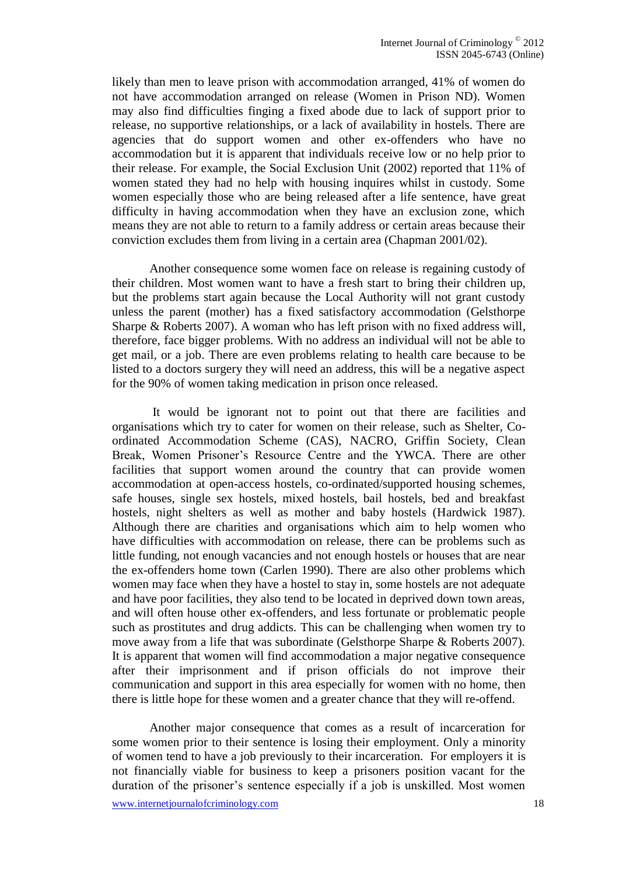likely than men to leave prison with accommodation arranged, 41% of women do not have accommodation arranged on release (Women in Prison ND). Women may also find difficulties finging a fixed abode due to lack of support prior to release, no supportive relationships, or a lack of availability in hostels. There are agencies that do support women and other ex-offenders who have no accommodation but it is apparent that individuals receive low or no help prior to their release. For example, the Social Exclusion Unit (2002) reported that 11% of women stated they had no help with housing inquires whilst in custody. Some women especially those who are being released after a life sentence, have great difficulty in having accommodation when they have an exclusion zone, which means they are not able to return to a family address or certain areas because their conviction excludes them from living in a certain area (Chapman 2001/02).

Another consequence some women face on release is regaining custody of their children. Most women want to have a fresh start to bring their children up, but the problems start again because the Local Authority will not grant custody unless the parent (mother) has a fixed satisfactory accommodation (Gelsthorpe Sharpe & Roberts 2007). A woman who has left prison with no fixed address will, therefore, face bigger problems. With no address an individual will not be able to get mail, or a job. There are even problems relating to health care because to be listed to a doctors surgery they will need an address, this will be a negative aspect for the 90% of women taking medication in prison once released.

It would be ignorant not to point out that there are facilities and organisations which try to cater for women on their release, such as Shelter, Coordinated Accommodation Scheme (CAS), NACRO, Griffin Society, Clean Break, Women Prisoner's Resource Centre and the YWCA. There are other facilities that support women around the country that can provide women accommodation at open-access hostels, co-ordinated/supported housing schemes, safe houses, single sex hostels, mixed hostels, bail hostels, bed and breakfast hostels, night shelters as well as mother and baby hostels (Hardwick 1987). Although there are charities and organisations which aim to help women who have difficulties with accommodation on release, there can be problems such as little funding, not enough vacancies and not enough hostels or houses that are near the ex-offenders home town (Carlen 1990). There are also other problems which women may face when they have a hostel to stay in, some hostels are not adequate and have poor facilities, they also tend to be located in deprived down town areas, and will often house other ex-offenders, and less fortunate or problematic people such as prostitutes and drug addicts. This can be challenging when women try to move away from a life that was subordinate (Gelsthorpe Sharpe & Roberts 2007). It is apparent that women will find accommodation a major negative consequence after their imprisonment and if prison officials do not improve their communication and support in this area especially for women with no home, then there is little hope for these women and a greater chance that they will re-offend.

Another major consequence that comes as a result of incarceration for some women prior to their sentence is losing their employment. Only a minority of women tend to have a job previously to their incarceration. For employers it is not financially viable for business to keep a prisoners position vacant for the duration of the prisoner's sentence especially if a job is unskilled. Most women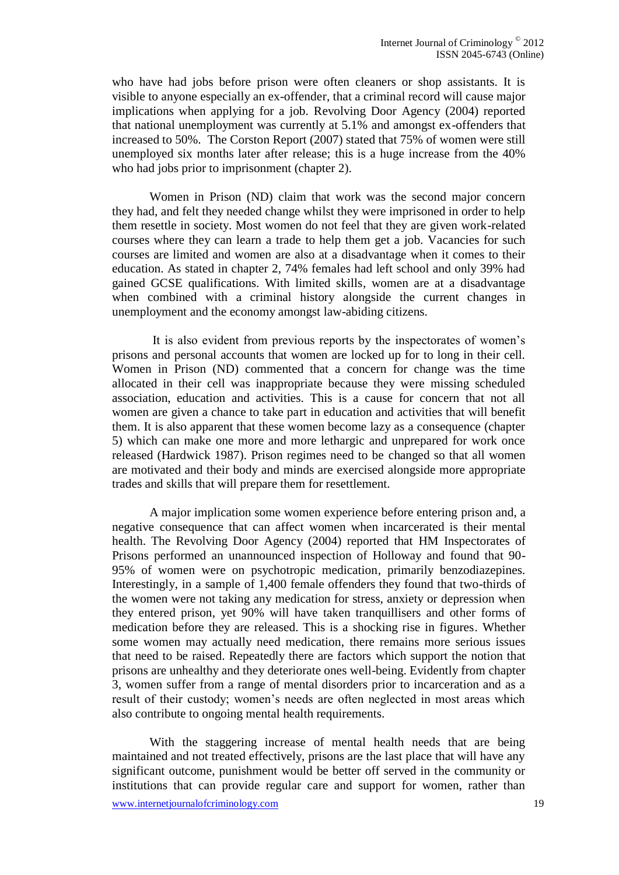who have had jobs before prison were often cleaners or shop assistants. It is visible to anyone especially an ex-offender, that a criminal record will cause major implications when applying for a job. Revolving Door Agency (2004) reported that national unemployment was currently at 5.1% and amongst ex-offenders that increased to 50%. The Corston Report (2007) stated that 75% of women were still unemployed six months later after release; this is a huge increase from the 40% who had jobs prior to imprisonment (chapter 2).

Women in Prison (ND) claim that work was the second major concern they had, and felt they needed change whilst they were imprisoned in order to help them resettle in society. Most women do not feel that they are given work-related courses where they can learn a trade to help them get a job. Vacancies for such courses are limited and women are also at a disadvantage when it comes to their education. As stated in chapter 2, 74% females had left school and only 39% had gained GCSE qualifications. With limited skills, women are at a disadvantage when combined with a criminal history alongside the current changes in unemployment and the economy amongst law-abiding citizens.

It is also evident from previous reports by the inspectorates of women's prisons and personal accounts that women are locked up for to long in their cell. Women in Prison (ND) commented that a concern for change was the time allocated in their cell was inappropriate because they were missing scheduled association, education and activities. This is a cause for concern that not all women are given a chance to take part in education and activities that will benefit them. It is also apparent that these women become lazy as a consequence (chapter 5) which can make one more and more lethargic and unprepared for work once released (Hardwick 1987). Prison regimes need to be changed so that all women are motivated and their body and minds are exercised alongside more appropriate trades and skills that will prepare them for resettlement.

A major implication some women experience before entering prison and, a negative consequence that can affect women when incarcerated is their mental health. The Revolving Door Agency (2004) reported that HM Inspectorates of Prisons performed an unannounced inspection of Holloway and found that 90- 95% of women were on psychotropic medication, primarily benzodiazepines. Interestingly, in a sample of 1,400 female offenders they found that two-thirds of the women were not taking any medication for stress, anxiety or depression when they entered prison, yet 90% will have taken tranquillisers and other forms of medication before they are released. This is a shocking rise in figures. Whether some women may actually need medication, there remains more serious issues that need to be raised. Repeatedly there are factors which support the notion that prisons are unhealthy and they deteriorate ones well-being. Evidently from chapter 3, women suffer from a range of mental disorders prior to incarceration and as a result of their custody; women's needs are often neglected in most areas which also contribute to ongoing mental health requirements.

With the staggering increase of mental health needs that are being maintained and not treated effectively, prisons are the last place that will have any significant outcome, punishment would be better off served in the community or institutions that can provide regular care and support for women, rather than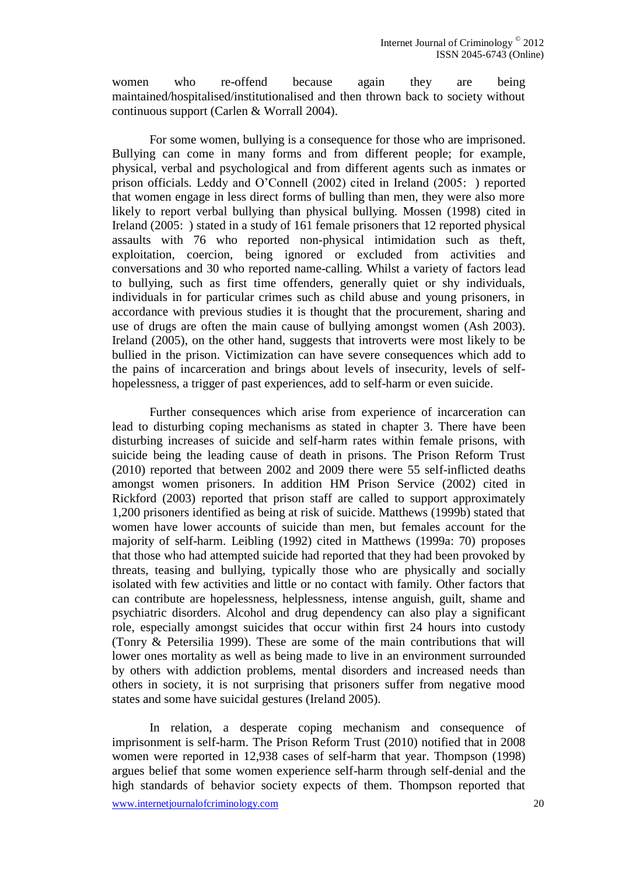women who re-offend because again they are being maintained/hospitalised/institutionalised and then thrown back to society without continuous support (Carlen & Worrall 2004).

For some women, bullying is a consequence for those who are imprisoned. Bullying can come in many forms and from different people; for example, physical, verbal and psychological and from different agents such as inmates or prison officials. Leddy and O'Connell (2002) cited in Ireland (2005: ) reported that women engage in less direct forms of bulling than men, they were also more likely to report verbal bullying than physical bullying. Mossen (1998) cited in Ireland (2005: ) stated in a study of 161 female prisoners that 12 reported physical assaults with 76 who reported non-physical intimidation such as theft, exploitation, coercion, being ignored or excluded from activities and conversations and 30 who reported name-calling. Whilst a variety of factors lead to bullying, such as first time offenders, generally quiet or shy individuals, individuals in for particular crimes such as child abuse and young prisoners, in accordance with previous studies it is thought that the procurement, sharing and use of drugs are often the main cause of bullying amongst women (Ash 2003). Ireland (2005), on the other hand, suggests that introverts were most likely to be bullied in the prison. Victimization can have severe consequences which add to the pains of incarceration and brings about levels of insecurity, levels of selfhopelessness, a trigger of past experiences, add to self-harm or even suicide.

Further consequences which arise from experience of incarceration can lead to disturbing coping mechanisms as stated in chapter 3. There have been disturbing increases of suicide and self-harm rates within female prisons, with suicide being the leading cause of death in prisons. The Prison Reform Trust (2010) reported that between 2002 and 2009 there were 55 self-inflicted deaths amongst women prisoners. In addition HM Prison Service (2002) cited in Rickford (2003) reported that prison staff are called to support approximately 1,200 prisoners identified as being at risk of suicide. Matthews (1999b) stated that women have lower accounts of suicide than men, but females account for the majority of self-harm. Leibling (1992) cited in Matthews (1999a: 70) proposes that those who had attempted suicide had reported that they had been provoked by threats, teasing and bullying, typically those who are physically and socially isolated with few activities and little or no contact with family. Other factors that can contribute are hopelessness, helplessness, intense anguish, guilt, shame and psychiatric disorders. Alcohol and drug dependency can also play a significant role, especially amongst suicides that occur within first 24 hours into custody (Tonry & Petersilia 1999). These are some of the main contributions that will lower ones mortality as well as being made to live in an environment surrounded by others with addiction problems, mental disorders and increased needs than others in society, it is not surprising that prisoners suffer from negative mood states and some have suicidal gestures (Ireland 2005).

In relation, a desperate coping mechanism and consequence of imprisonment is self-harm. The Prison Reform Trust (2010) notified that in 2008 women were reported in 12,938 cases of self-harm that year. Thompson (1998) argues belief that some women experience self-harm through self-denial and the high standards of behavior society expects of them. Thompson reported that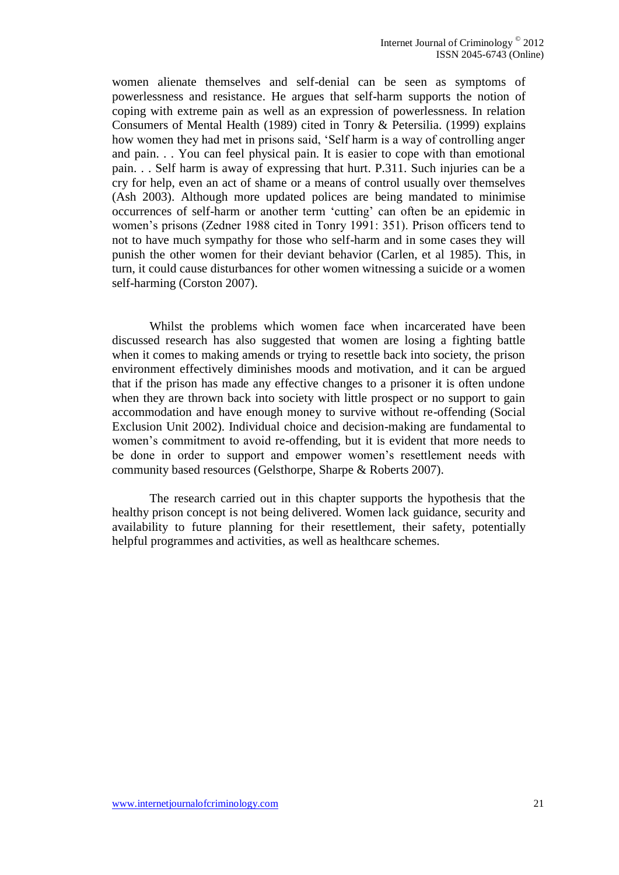women alienate themselves and self-denial can be seen as symptoms of powerlessness and resistance. He argues that self-harm supports the notion of coping with extreme pain as well as an expression of powerlessness. In relation Consumers of Mental Health (1989) cited in Tonry & Petersilia. (1999) explains how women they had met in prisons said, 'Self harm is a way of controlling anger and pain. . . You can feel physical pain. It is easier to cope with than emotional pain. . . Self harm is away of expressing that hurt. P.311. Such injuries can be a cry for help, even an act of shame or a means of control usually over themselves (Ash 2003). Although more updated polices are being mandated to minimise occurrences of self-harm or another term 'cutting' can often be an epidemic in women's prisons (Zedner 1988 cited in Tonry 1991: 351). Prison officers tend to not to have much sympathy for those who self-harm and in some cases they will punish the other women for their deviant behavior (Carlen, et al 1985). This, in turn, it could cause disturbances for other women witnessing a suicide or a women self-harming (Corston 2007).

Whilst the problems which women face when incarcerated have been discussed research has also suggested that women are losing a fighting battle when it comes to making amends or trying to resettle back into society, the prison environment effectively diminishes moods and motivation, and it can be argued that if the prison has made any effective changes to a prisoner it is often undone when they are thrown back into society with little prospect or no support to gain accommodation and have enough money to survive without re-offending (Social Exclusion Unit 2002). Individual choice and decision-making are fundamental to women's commitment to avoid re-offending, but it is evident that more needs to be done in order to support and empower women's resettlement needs with community based resources (Gelsthorpe, Sharpe & Roberts 2007).

The research carried out in this chapter supports the hypothesis that the healthy prison concept is not being delivered. Women lack guidance, security and availability to future planning for their resettlement, their safety, potentially helpful programmes and activities, as well as healthcare schemes.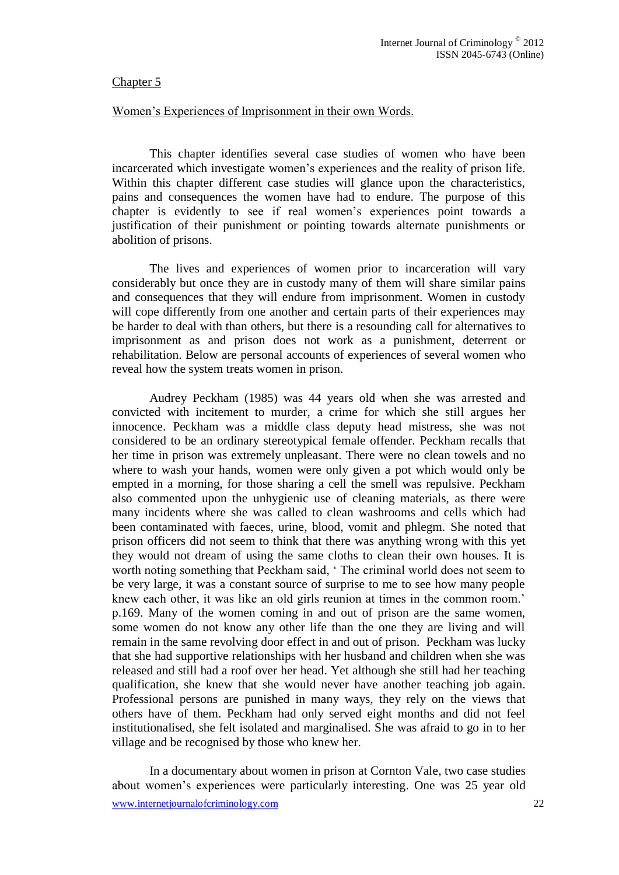## Chapter 5

# Women's Experiences of Imprisonment in their own Words.

This chapter identifies several case studies of women who have been incarcerated which investigate women's experiences and the reality of prison life. Within this chapter different case studies will glance upon the characteristics, pains and consequences the women have had to endure. The purpose of this chapter is evidently to see if real women's experiences point towards a justification of their punishment or pointing towards alternate punishments or abolition of prisons.

The lives and experiences of women prior to incarceration will vary considerably but once they are in custody many of them will share similar pains and consequences that they will endure from imprisonment. Women in custody will cope differently from one another and certain parts of their experiences may be harder to deal with than others, but there is a resounding call for alternatives to imprisonment as and prison does not work as a punishment, deterrent or rehabilitation. Below are personal accounts of experiences of several women who reveal how the system treats women in prison.

Audrey Peckham (1985) was 44 years old when she was arrested and convicted with incitement to murder, a crime for which she still argues her innocence. Peckham was a middle class deputy head mistress, she was not considered to be an ordinary stereotypical female offender. Peckham recalls that her time in prison was extremely unpleasant. There were no clean towels and no where to wash your hands, women were only given a pot which would only be empted in a morning, for those sharing a cell the smell was repulsive. Peckham also commented upon the unhygienic use of cleaning materials, as there were many incidents where she was called to clean washrooms and cells which had been contaminated with faeces, urine, blood, vomit and phlegm. She noted that prison officers did not seem to think that there was anything wrong with this yet they would not dream of using the same cloths to clean their own houses. It is worth noting something that Peckham said, ' The criminal world does not seem to be very large, it was a constant source of surprise to me to see how many people knew each other, it was like an old girls reunion at times in the common room.' p.169. Many of the women coming in and out of prison are the same women, some women do not know any other life than the one they are living and will remain in the same revolving door effect in and out of prison. Peckham was lucky that she had supportive relationships with her husband and children when she was released and still had a roof over her head. Yet although she still had her teaching qualification, she knew that she would never have another teaching job again. Professional persons are punished in many ways, they rely on the views that others have of them. Peckham had only served eight months and did not feel institutionalised, she felt isolated and marginalised. She was afraid to go in to her village and be recognised by those who knew her.

In a documentary about women in prison at Cornton Vale, two case studies about women's experiences were particularly interesting. One was 25 year old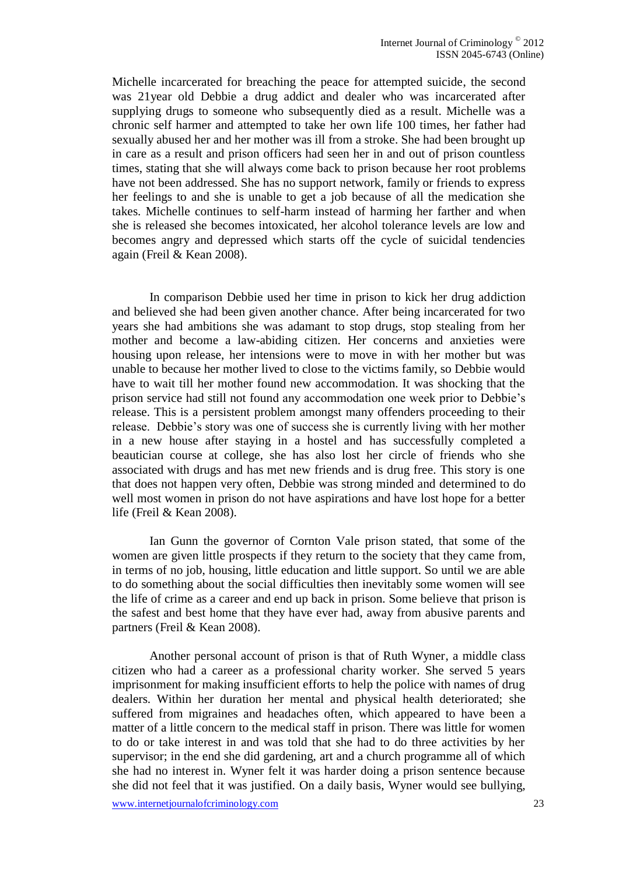Michelle incarcerated for breaching the peace for attempted suicide, the second was 21year old Debbie a drug addict and dealer who was incarcerated after supplying drugs to someone who subsequently died as a result. Michelle was a chronic self harmer and attempted to take her own life 100 times, her father had sexually abused her and her mother was ill from a stroke. She had been brought up in care as a result and prison officers had seen her in and out of prison countless times, stating that she will always come back to prison because her root problems have not been addressed. She has no support network, family or friends to express her feelings to and she is unable to get a job because of all the medication she takes. Michelle continues to self-harm instead of harming her farther and when she is released she becomes intoxicated, her alcohol tolerance levels are low and becomes angry and depressed which starts off the cycle of suicidal tendencies again (Freil & Kean 2008).

In comparison Debbie used her time in prison to kick her drug addiction and believed she had been given another chance. After being incarcerated for two years she had ambitions she was adamant to stop drugs, stop stealing from her mother and become a law-abiding citizen. Her concerns and anxieties were housing upon release, her intensions were to move in with her mother but was unable to because her mother lived to close to the victims family, so Debbie would have to wait till her mother found new accommodation. It was shocking that the prison service had still not found any accommodation one week prior to Debbie's release. This is a persistent problem amongst many offenders proceeding to their release. Debbie's story was one of success she is currently living with her mother in a new house after staying in a hostel and has successfully completed a beautician course at college, she has also lost her circle of friends who she associated with drugs and has met new friends and is drug free. This story is one that does not happen very often, Debbie was strong minded and determined to do well most women in prison do not have aspirations and have lost hope for a better life (Freil & Kean 2008).

Ian Gunn the governor of Cornton Vale prison stated, that some of the women are given little prospects if they return to the society that they came from, in terms of no job, housing, little education and little support. So until we are able to do something about the social difficulties then inevitably some women will see the life of crime as a career and end up back in prison. Some believe that prison is the safest and best home that they have ever had, away from abusive parents and partners (Freil & Kean 2008).

Another personal account of prison is that of Ruth Wyner, a middle class citizen who had a career as a professional charity worker. She served 5 years imprisonment for making insufficient efforts to help the police with names of drug dealers. Within her duration her mental and physical health deteriorated; she suffered from migraines and headaches often, which appeared to have been a matter of a little concern to the medical staff in prison. There was little for women to do or take interest in and was told that she had to do three activities by her supervisor; in the end she did gardening, art and a church programme all of which she had no interest in. Wyner felt it was harder doing a prison sentence because she did not feel that it was justified. On a daily basis, Wyner would see bullying,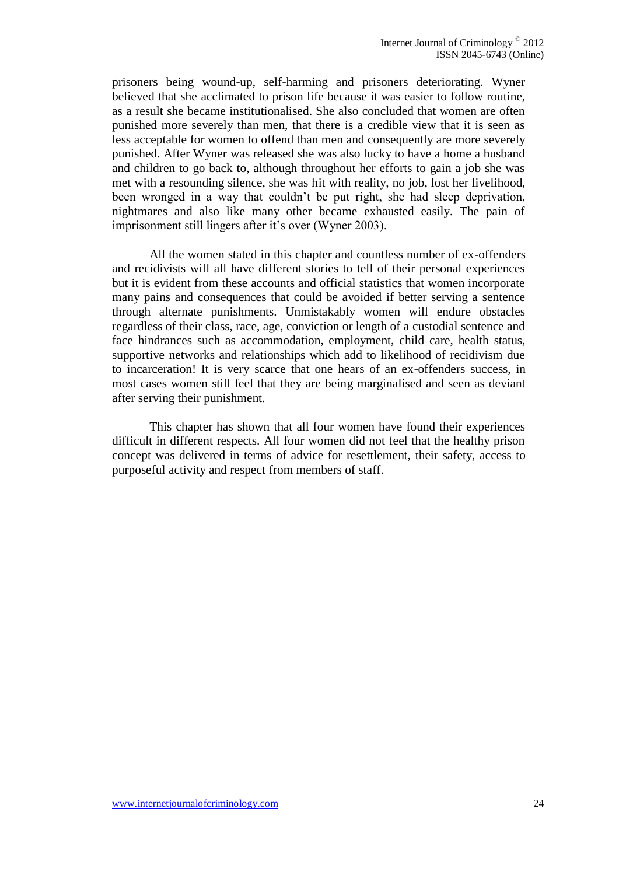prisoners being wound-up, self-harming and prisoners deteriorating. Wyner believed that she acclimated to prison life because it was easier to follow routine, as a result she became institutionalised. She also concluded that women are often punished more severely than men, that there is a credible view that it is seen as less acceptable for women to offend than men and consequently are more severely punished. After Wyner was released she was also lucky to have a home a husband and children to go back to, although throughout her efforts to gain a job she was met with a resounding silence, she was hit with reality, no job, lost her livelihood, been wronged in a way that couldn't be put right, she had sleep deprivation, nightmares and also like many other became exhausted easily. The pain of imprisonment still lingers after it's over (Wyner 2003).

All the women stated in this chapter and countless number of ex-offenders and recidivists will all have different stories to tell of their personal experiences but it is evident from these accounts and official statistics that women incorporate many pains and consequences that could be avoided if better serving a sentence through alternate punishments. Unmistakably women will endure obstacles regardless of their class, race, age, conviction or length of a custodial sentence and face hindrances such as accommodation, employment, child care, health status, supportive networks and relationships which add to likelihood of recidivism due to incarceration! It is very scarce that one hears of an ex-offenders success, in most cases women still feel that they are being marginalised and seen as deviant after serving their punishment.

This chapter has shown that all four women have found their experiences difficult in different respects. All four women did not feel that the healthy prison concept was delivered in terms of advice for resettlement, their safety, access to purposeful activity and respect from members of staff.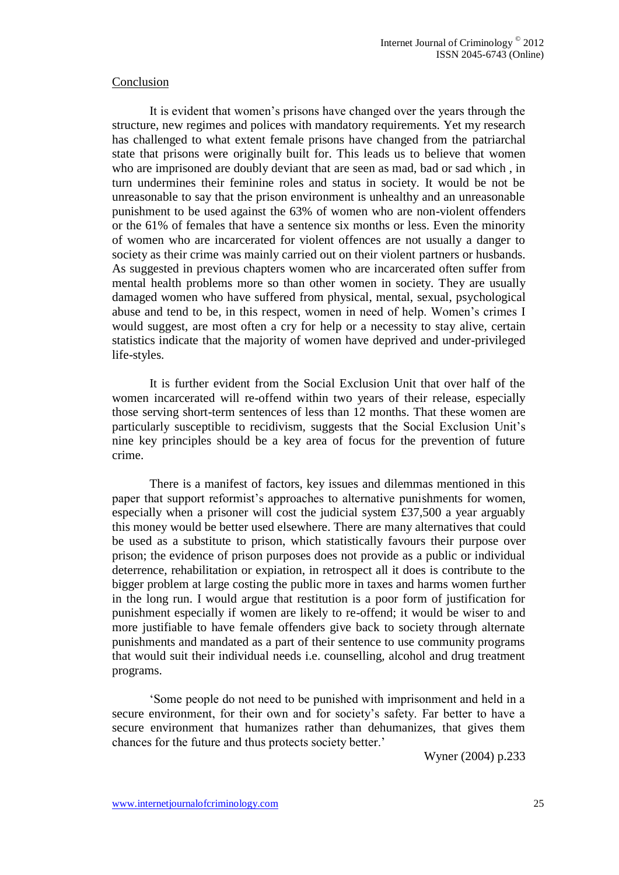#### Conclusion

It is evident that women's prisons have changed over the years through the structure, new regimes and polices with mandatory requirements. Yet my research has challenged to what extent female prisons have changed from the patriarchal state that prisons were originally built for. This leads us to believe that women who are imprisoned are doubly deviant that are seen as mad, bad or sad which , in turn undermines their feminine roles and status in society. It would be not be unreasonable to say that the prison environment is unhealthy and an unreasonable punishment to be used against the 63% of women who are non-violent offenders or the 61% of females that have a sentence six months or less. Even the minority of women who are incarcerated for violent offences are not usually a danger to society as their crime was mainly carried out on their violent partners or husbands. As suggested in previous chapters women who are incarcerated often suffer from mental health problems more so than other women in society. They are usually damaged women who have suffered from physical, mental, sexual, psychological abuse and tend to be, in this respect, women in need of help. Women's crimes I would suggest, are most often a cry for help or a necessity to stay alive, certain statistics indicate that the majority of women have deprived and under-privileged life-styles.

It is further evident from the Social Exclusion Unit that over half of the women incarcerated will re-offend within two years of their release, especially those serving short-term sentences of less than 12 months. That these women are particularly susceptible to recidivism, suggests that the Social Exclusion Unit's nine key principles should be a key area of focus for the prevention of future crime.

There is a manifest of factors, key issues and dilemmas mentioned in this paper that support reformist's approaches to alternative punishments for women, especially when a prisoner will cost the judicial system £37,500 a year arguably this money would be better used elsewhere. There are many alternatives that could be used as a substitute to prison, which statistically favours their purpose over prison; the evidence of prison purposes does not provide as a public or individual deterrence, rehabilitation or expiation, in retrospect all it does is contribute to the bigger problem at large costing the public more in taxes and harms women further in the long run. I would argue that restitution is a poor form of justification for punishment especially if women are likely to re-offend; it would be wiser to and more justifiable to have female offenders give back to society through alternate punishments and mandated as a part of their sentence to use community programs that would suit their individual needs i.e. counselling, alcohol and drug treatment programs.

'Some people do not need to be punished with imprisonment and held in a secure environment, for their own and for society's safety. Far better to have a secure environment that humanizes rather than dehumanizes, that gives them chances for the future and thus protects society better.'

Wyner (2004) p.233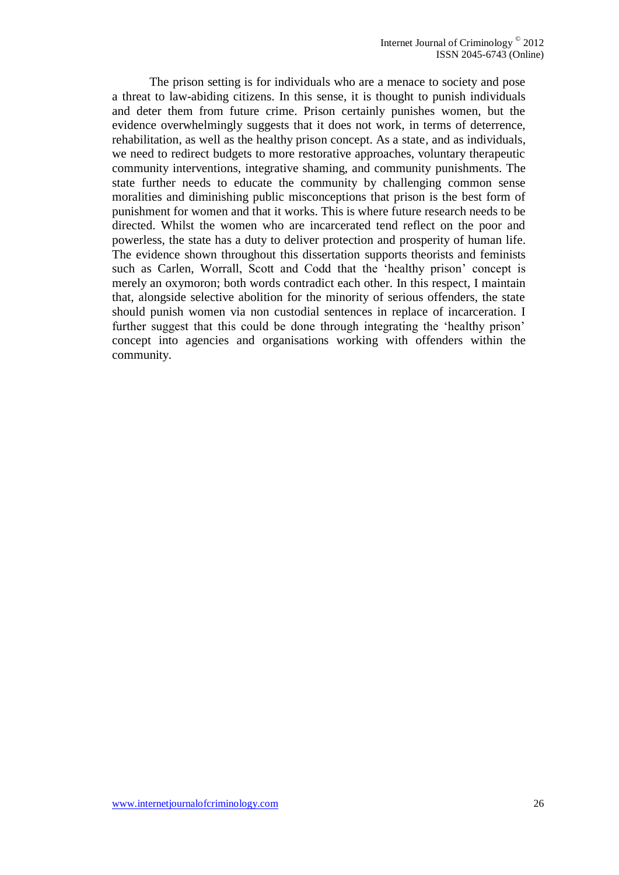The prison setting is for individuals who are a menace to society and pose a threat to law-abiding citizens. In this sense, it is thought to punish individuals and deter them from future crime. Prison certainly punishes women, but the evidence overwhelmingly suggests that it does not work, in terms of deterrence, rehabilitation, as well as the healthy prison concept. As a state, and as individuals, we need to redirect budgets to more restorative approaches, voluntary therapeutic community interventions, integrative shaming, and community punishments. The state further needs to educate the community by challenging common sense moralities and diminishing public misconceptions that prison is the best form of punishment for women and that it works. This is where future research needs to be directed. Whilst the women who are incarcerated tend reflect on the poor and powerless, the state has a duty to deliver protection and prosperity of human life. The evidence shown throughout this dissertation supports theorists and feminists such as Carlen, Worrall, Scott and Codd that the 'healthy prison' concept is merely an oxymoron; both words contradict each other. In this respect, I maintain that, alongside selective abolition for the minority of serious offenders, the state should punish women via non custodial sentences in replace of incarceration. I further suggest that this could be done through integrating the 'healthy prison' concept into agencies and organisations working with offenders within the community.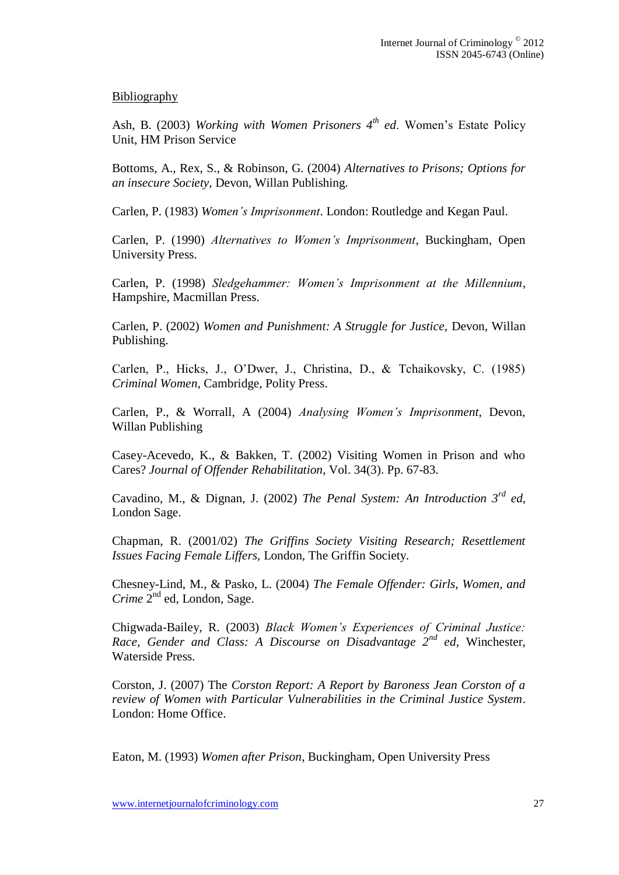## Bibliography

Ash, B. (2003) *Working with Women Prisoners 4th ed*. Women's Estate Policy Unit, HM Prison Service

Bottoms, A., Rex, S., & Robinson, G. (2004) *Alternatives to Prisons; Options for an insecure Society,* Devon, Willan Publishing.

Carlen, P. (1983) *Women's Imprisonment*. London: Routledge and Kegan Paul.

Carlen, P. (1990) *Alternatives to Women's Imprisonment*, Buckingham, Open University Press.

Carlen, P. (1998) *Sledgehammer: Women's Imprisonment at the Millennium*, Hampshire, Macmillan Press.

Carlen, P. (2002) *Women and Punishment: A Struggle for Justice,* Devon, Willan Publishing.

Carlen, P., Hicks, J., O'Dwer, J., Christina, D., & Tchaikovsky, C. (1985) *Criminal Women,* Cambridge, Polity Press.

Carlen, P., & Worrall, A (2004) *Analysing Women's Imprisonment,* Devon, Willan Publishing

Casey-Acevedo, K., & Bakken, T. (2002) Visiting Women in Prison and who Cares? *Journal of Offender Rehabilitation*, Vol. 34(3). Pp. 67-83.

Cavadino, M., & Dignan, J. (2002) *The Penal System: An Introduction 3rd ed,* London Sage.

Chapman, R. (2001/02) *The Griffins Society Visiting Research; Resettlement Issues Facing Female Liffers,* London, The Griffin Society.

Chesney-Lind, M., & Pasko, L. (2004) *The Female Offender: Girls, Women, and*  Crime 2<sup>nd</sup> ed, London, Sage.

Chigwada-Bailey, R. (2003) *Black Women's Experiences of Criminal Justice: Race, Gender and Class: A Discourse on Disadvantage 2nd ed*, Winchester, Waterside Press.

Corston, J. (2007) The *Corston Report: A Report by Baroness Jean Corston of a review of Women with Particular Vulnerabilities in the Criminal Justice System*. London: Home Office.

Eaton, M. (1993) *Women after Prison*, Buckingham, Open University Press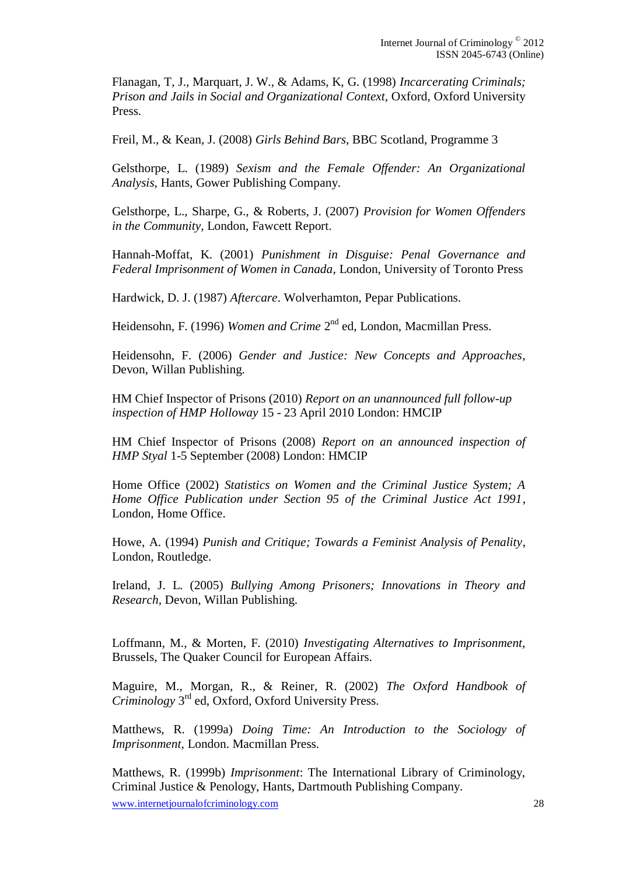Flanagan, T, J., Marquart, J. W., & Adams, K, G. (1998) *Incarcerating Criminals; Prison and Jails in Social and Organizational Context,* Oxford, Oxford University Press.

Freil, M., & Kean, J. (2008) *Girls Behind Bars*, BBC Scotland, Programme 3

Gelsthorpe, L. (1989) *Sexism and the Female Offender: An Organizational Analysis,* Hants, Gower Publishing Company.

Gelsthorpe, L., Sharpe, G., & Roberts, J. (2007) *Provision for Women Offenders in the Community,* London, Fawcett Report.

Hannah-Moffat, K. (2001) *Punishment in Disguise: Penal Governance and Federal Imprisonment of Women in Canada*, London, University of Toronto Press

Hardwick, D. J. (1987) *Aftercare*. Wolverhamton, Pepar Publications.

Heidensohn, F. (1996) *Women and Crime* 2<sup>nd</sup> ed, London, Macmillan Press.

Heidensohn, F. (2006) *Gender and Justice: New Concepts and Approaches*, Devon, Willan Publishing.

HM Chief Inspector of Prisons (2010) *Report on an unannounced full follow-up inspection of HMP Holloway* 15 - 23 April 2010 London: HMCIP

HM Chief Inspector of Prisons (2008) *Report on an announced inspection of HMP Styal* 1-5 September (2008) London: HMCIP

Home Office (2002) *Statistics on Women and the Criminal Justice System; A Home Office Publication under Section 95 of the Criminal Justice Act 1991*, London, Home Office.

Howe, A. (1994) *Punish and Critique; Towards a Feminist Analysis of Penality*, London, Routledge.

Ireland, J. L. (2005) *Bullying Among Prisoners; Innovations in Theory and Research,* Devon, Willan Publishing.

Loffmann, M., & Morten, F. (2010) *Investigating Alternatives to Imprisonment,* Brussels, The Quaker Council for European Affairs.

Maguire, M., Morgan, R., & Reiner, R. (2002) *The Oxford Handbook of Criminology* 3 rd ed, Oxford, Oxford University Press.

Matthews, R. (1999a) *Doing Time: An Introduction to the Sociology of Imprisonment,* London. Macmillan Press.

Matthews, R. (1999b) *Imprisonment*: The International Library of Criminology, Criminal Justice & Penology, Hants, Dartmouth Publishing Company.

www.internetjournalofcriminology.com 28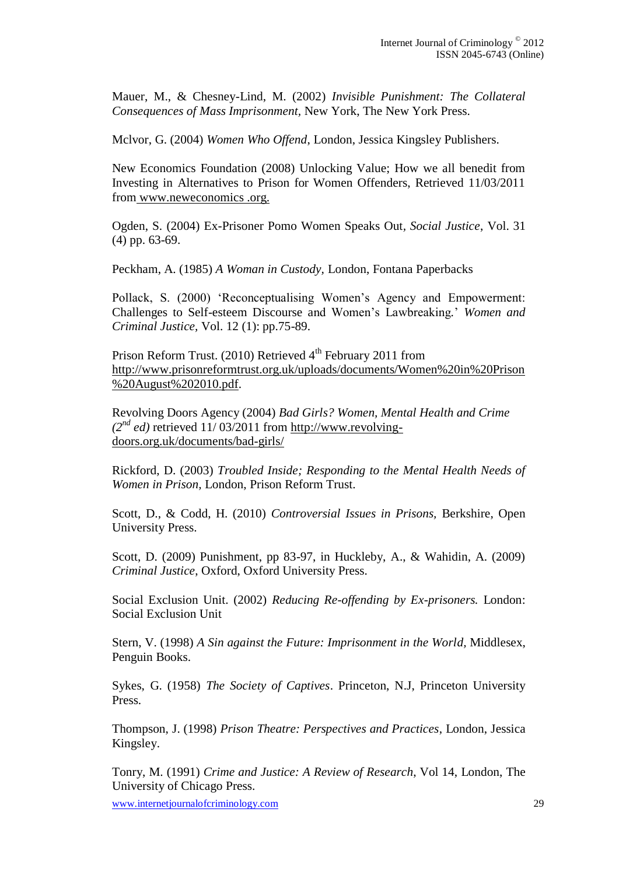Mauer, M., & Chesney-Lind, M. (2002) *Invisible Punishment: The Collateral Consequences of Mass Imprisonment,* New York, The New York Press.

Mclvor, G. (2004) *Women Who Offend*, London, Jessica Kingsley Publishers.

New Economics Foundation (2008) Unlocking Value; How we all benedit from Investing in Alternatives to Prison for Women Offenders, Retrieved 11/03/2011 from www.neweconomics .org.

Ogden, S. (2004) Ex-Prisoner Pomo Women Speaks Out*, Social Justice*, Vol. 31 (4) pp. 63-69.

Peckham, A. (1985) *A Woman in Custody,* London, Fontana Paperbacks

Pollack, S. (2000) 'Reconceptualising Women's Agency and Empowerment: Challenges to Self-esteem Discourse and Women's Lawbreaking*.*' *Women and Criminal Justice,* Vol. 12 (1): pp.75-89.

Prison Reform Trust.  $(2010)$  Retrieved  $4<sup>th</sup>$  February 2011 from [http://www.prisonreformtrust.org.uk/uploads/documents/Women%20in%20Prison](http://www.prisonreformtrust.org.uk/uploads/documents/Women%20in%20Prison%20August%202010.pdf) [%20August%202010.pdf.](http://www.prisonreformtrust.org.uk/uploads/documents/Women%20in%20Prison%20August%202010.pdf)

Revolving Doors Agency (2004) *Bad Girls? Women, Mental Health and Crime*   $(2^{nd}$  *ed*) retrieved 11/03/2011 from http://www.revolvingdoors.org.uk/documents/bad-girls/

Rickford, D. (2003) *Troubled Inside; Responding to the Mental Health Needs of Women in Prison,* London, Prison Reform Trust.

Scott, D., & Codd, H. (2010) *Controversial Issues in Prisons,* Berkshire, Open University Press.

Scott, D. (2009) Punishment, pp 83-97, in Huckleby, A., & Wahidin, A. (2009) *Criminal Justice*, Oxford, Oxford University Press.

Social Exclusion Unit. (2002) *Reducing Re-offending by Ex-prisoners.* London: Social Exclusion Unit

Stern, V. (1998) *A Sin against the Future: Imprisonment in the World,* Middlesex, Penguin Books.

Sykes, G. (1958) *The Society of Captives*. Princeton, N.J, Princeton University Press.

Thompson, J. (1998) *Prison Theatre: Perspectives and Practices*, London, Jessica Kingsley.

Tonry, M. (1991) *Crime and Justice: A Review of Research*, Vol 14, London, The University of Chicago Press.

www.internetjournalofcriminology.com 29